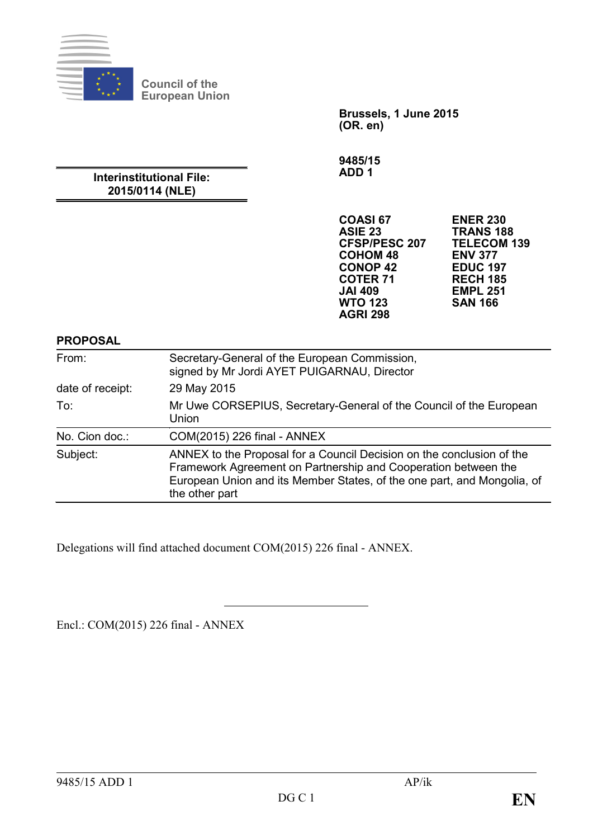

**Council of the European Union**

> **Brussels, 1 June 2015 (OR. en)**

**9485/15 ADD 1**

**Interinstitutional File: 2015/0114 (NLE)**

| <b>COASI 67</b>      | <b>ENER 230</b>    |
|----------------------|--------------------|
| ASIE <sub>23</sub>   | <b>TRANS 188</b>   |
| <b>CFSP/PESC 207</b> | <b>TELECOM 139</b> |
| <b>COHOM 48</b>      | <b>ENV 377</b>     |
| <b>CONOP 42</b>      | <b>EDUC 197</b>    |
| <b>COTER 71</b>      | <b>RECH 185</b>    |
| <b>JAI 409</b>       | <b>EMPL 251</b>    |
| <b>WTO 123</b>       | <b>SAN 166</b>     |
| <b>AGRI 298</b>      |                    |

**PROPOSAL**

| From:            | Secretary-General of the European Commission,<br>signed by Mr Jordi AYET PUIGARNAU, Director                                                                                                                                         |
|------------------|--------------------------------------------------------------------------------------------------------------------------------------------------------------------------------------------------------------------------------------|
| date of receipt: | 29 May 2015                                                                                                                                                                                                                          |
| To:              | Mr Uwe CORSEPIUS, Secretary-General of the Council of the European<br>Union                                                                                                                                                          |
| No. Cion doc.:   | COM(2015) 226 final - ANNEX                                                                                                                                                                                                          |
| Subject:         | ANNEX to the Proposal for a Council Decision on the conclusion of the<br>Framework Agreement on Partnership and Cooperation between the<br>European Union and its Member States, of the one part, and Mongolia, of<br>the other part |

Delegations will find attached document COM(2015) 226 final - ANNEX.

Encl.: COM(2015) 226 final - ANNEX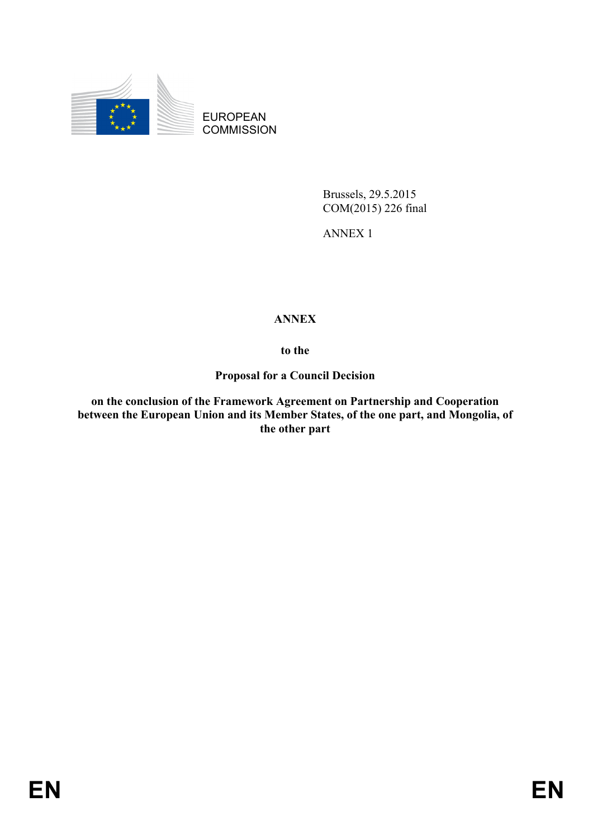

EUROPEAN **COMMISSION** 

> Brussels, 29.5.2015 COM(2015) 226 final

ANNEX 1

# **ANNEX**

**to the**

**Proposal for a Council Decision**

**on the conclusion of the Framework Agreement on Partnership and Cooperation between the European Union and its Member States, of the one part, and Mongolia, of the other part**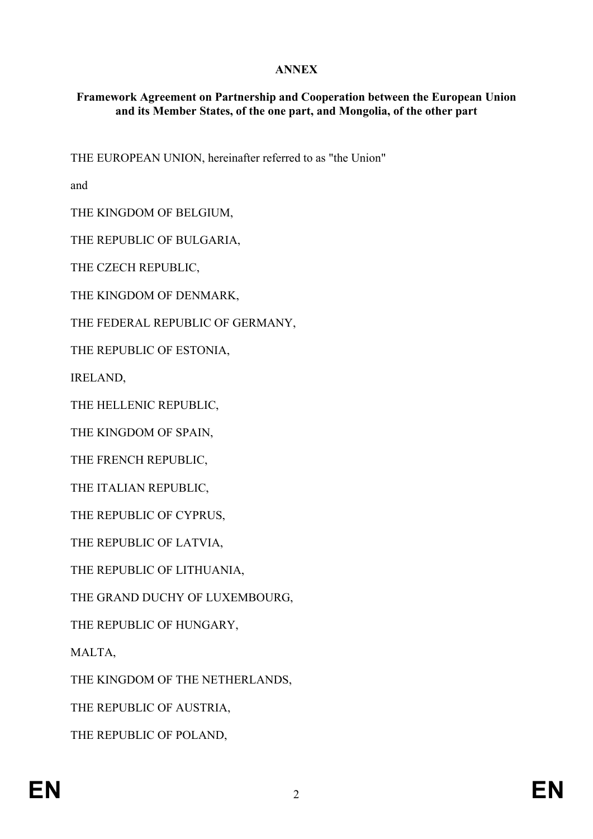## **ANNEX**

### **Framework Agreement on Partnership and Cooperation between the European Union and its Member States, of the one part, and Mongolia, of the other part**

THE EUROPEAN UNION, hereinafter referred to as "the Union"

and

THE KINGDOM OF BELGIUM,

THE REPUBLIC OF BULGARIA,

THE CZECH REPUBLIC,

THE KINGDOM OF DENMARK,

THE FEDERAL REPUBLIC OF GERMANY,

THE REPUBLIC OF ESTONIA,

IRELAND,

THE HELLENIC REPUBLIC,

THE KINGDOM OF SPAIN,

THE FRENCH REPUBLIC,

THE ITALIAN REPUBLIC,

THE REPUBLIC OF CYPRUS,

THE REPUBLIC OF LATVIA,

THE REPUBLIC OF LITHUANIA,

THE GRAND DUCHY OF LUXEMBOURG,

THE REPUBLIC OF HUNGARY,

MALTA,

THE KINGDOM OF THE NETHERLANDS,

THE REPUBLIC OF AUSTRIA,

THE REPUBLIC OF POLAND,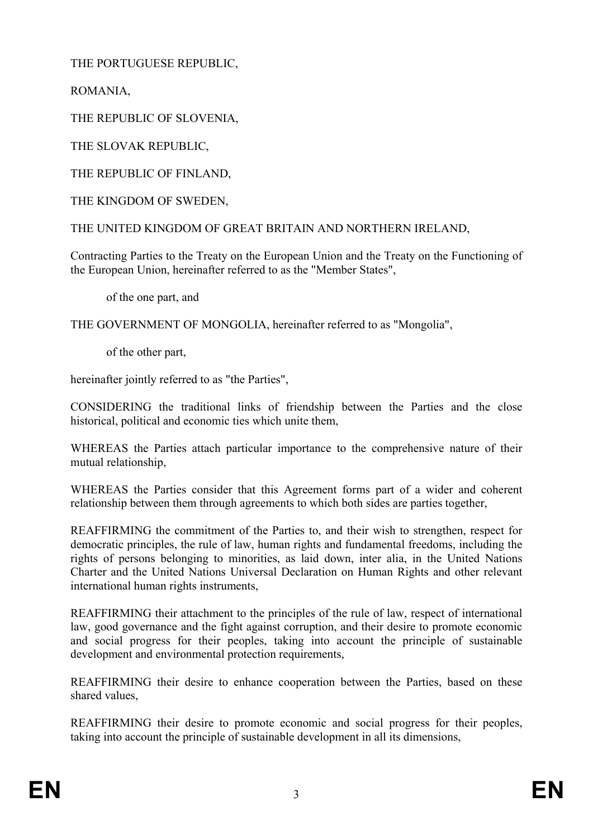THE PORTUGUESE REPUBLIC,

ROMANIA,

THE REPUBLIC OF SLOVENIA,

THE SLOVAK REPUBLIC,

THE REPUBLIC OF FINLAND,

THE KINGDOM OF SWEDEN,

THE UNITED KINGDOM OF GREAT BRITAIN AND NORTHERN IRELAND,

Contracting Parties to the Treaty on the European Union and the Treaty on the Functioning of the European Union, hereinafter referred to as the "Member States",

of the one part, and

THE GOVERNMENT OF MONGOLIA, hereinafter referred to as "Mongolia",

of the other part,

hereinafter jointly referred to as "the Parties".

CONSIDERING the traditional links of friendship between the Parties and the close historical, political and economic ties which unite them,

WHEREAS the Parties attach particular importance to the comprehensive nature of their mutual relationship,

WHEREAS the Parties consider that this Agreement forms part of a wider and coherent relationship between them through agreements to which both sides are parties together,

REAFFIRMING the commitment of the Parties to, and their wish to strengthen, respect for democratic principles, the rule of law, human rights and fundamental freedoms, including the rights of persons belonging to minorities, as laid down, inter alia, in the United Nations Charter and the United Nations Universal Declaration on Human Rights and other relevant international human rights instruments,

REAFFIRMING their attachment to the principles of the rule of law, respect of international law, good governance and the fight against corruption, and their desire to promote economic and social progress for their peoples, taking into account the principle of sustainable development and environmental protection requirements,

REAFFIRMING their desire to enhance cooperation between the Parties, based on these shared values,

REAFFIRMING their desire to promote economic and social progress for their peoples, taking into account the principle of sustainable development in all its dimensions,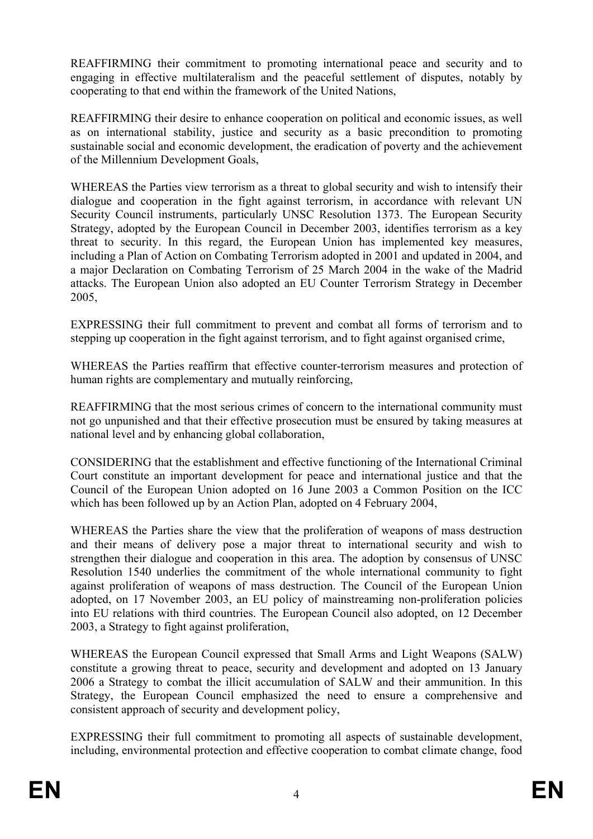REAFFIRMING their commitment to promoting international peace and security and to engaging in effective multilateralism and the peaceful settlement of disputes, notably by cooperating to that end within the framework of the United Nations,

REAFFIRMING their desire to enhance cooperation on political and economic issues, as well as on international stability, justice and security as a basic precondition to promoting sustainable social and economic development, the eradication of poverty and the achievement of the Millennium Development Goals,

WHEREAS the Parties view terrorism as a threat to global security and wish to intensify their dialogue and cooperation in the fight against terrorism, in accordance with relevant UN Security Council instruments, particularly UNSC Resolution 1373. The European Security Strategy, adopted by the European Council in December 2003, identifies terrorism as a key threat to security. In this regard, the European Union has implemented key measures, including a Plan of Action on Combating Terrorism adopted in 2001 and updated in 2004, and a major Declaration on Combating Terrorism of 25 March 2004 in the wake of the Madrid attacks. The European Union also adopted an EU Counter Terrorism Strategy in December 2005,

EXPRESSING their full commitment to prevent and combat all forms of terrorism and to stepping up cooperation in the fight against terrorism, and to fight against organised crime,

WHEREAS the Parties reaffirm that effective counter-terrorism measures and protection of human rights are complementary and mutually reinforcing,

REAFFIRMING that the most serious crimes of concern to the international community must not go unpunished and that their effective prosecution must be ensured by taking measures at national level and by enhancing global collaboration,

CONSIDERING that the establishment and effective functioning of the International Criminal Court constitute an important development for peace and international justice and that the Council of the European Union adopted on 16 June 2003 a Common Position on the ICC which has been followed up by an Action Plan, adopted on 4 February 2004,

WHEREAS the Parties share the view that the proliferation of weapons of mass destruction and their means of delivery pose a major threat to international security and wish to strengthen their dialogue and cooperation in this area. The adoption by consensus of UNSC Resolution 1540 underlies the commitment of the whole international community to fight against proliferation of weapons of mass destruction. The Council of the European Union adopted, on 17 November 2003, an EU policy of mainstreaming non-proliferation policies into EU relations with third countries. The European Council also adopted, on 12 December 2003, a Strategy to fight against proliferation,

WHEREAS the European Council expressed that Small Arms and Light Weapons (SALW) constitute a growing threat to peace, security and development and adopted on 13 January 2006 a Strategy to combat the illicit accumulation of SALW and their ammunition. In this Strategy, the European Council emphasized the need to ensure a comprehensive and consistent approach of security and development policy,

EXPRESSING their full commitment to promoting all aspects of sustainable development, including, environmental protection and effective cooperation to combat climate change, food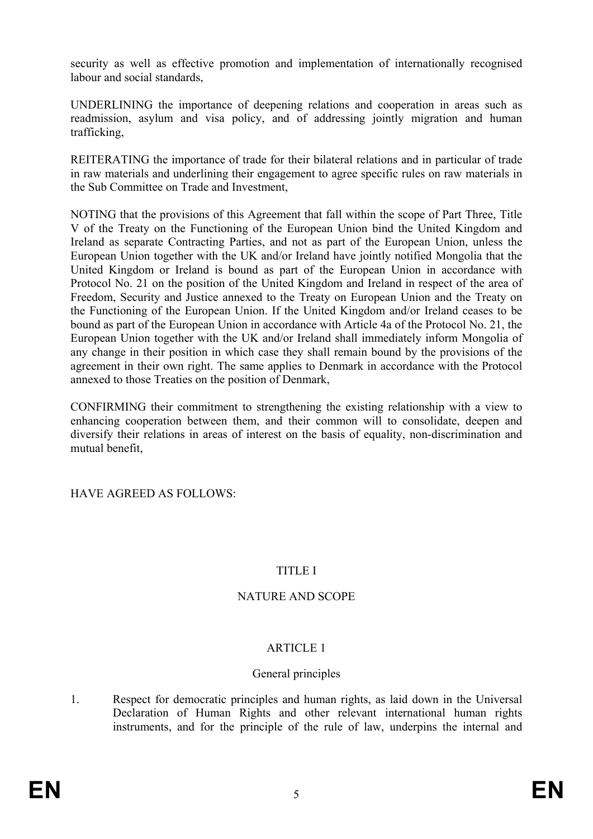security as well as effective promotion and implementation of internationally recognised labour and social standards,

UNDERLINING the importance of deepening relations and cooperation in areas such as readmission, asylum and visa policy, and of addressing jointly migration and human trafficking,

REITERATING the importance of trade for their bilateral relations and in particular of trade in raw materials and underlining their engagement to agree specific rules on raw materials in the Sub Committee on Trade and Investment,

NOTING that the provisions of this Agreement that fall within the scope of Part Three, Title V of the Treaty on the Functioning of the European Union bind the United Kingdom and Ireland as separate Contracting Parties, and not as part of the European Union, unless the European Union together with the UK and/or Ireland have jointly notified Mongolia that the United Kingdom or Ireland is bound as part of the European Union in accordance with Protocol No. 21 on the position of the United Kingdom and Ireland in respect of the area of Freedom, Security and Justice annexed to the Treaty on European Union and the Treaty on the Functioning of the European Union. If the United Kingdom and/or Ireland ceases to be bound as part of the European Union in accordance with Article 4a of the Protocol No. 21, the European Union together with the UK and/or Ireland shall immediately inform Mongolia of any change in their position in which case they shall remain bound by the provisions of the agreement in their own right. The same applies to Denmark in accordance with the Protocol annexed to those Treaties on the position of Denmark,

CONFIRMING their commitment to strengthening the existing relationship with a view to enhancing cooperation between them, and their common will to consolidate, deepen and diversify their relations in areas of interest on the basis of equality, non-discrimination and mutual benefit,

HAVE AGREED AS FOLLOWS:

### TITLE I

### NATURE AND SCOPE

### ARTICLE 1

### General principles

1. Respect for democratic principles and human rights, as laid down in the Universal Declaration of Human Rights and other relevant international human rights instruments, and for the principle of the rule of law, underpins the internal and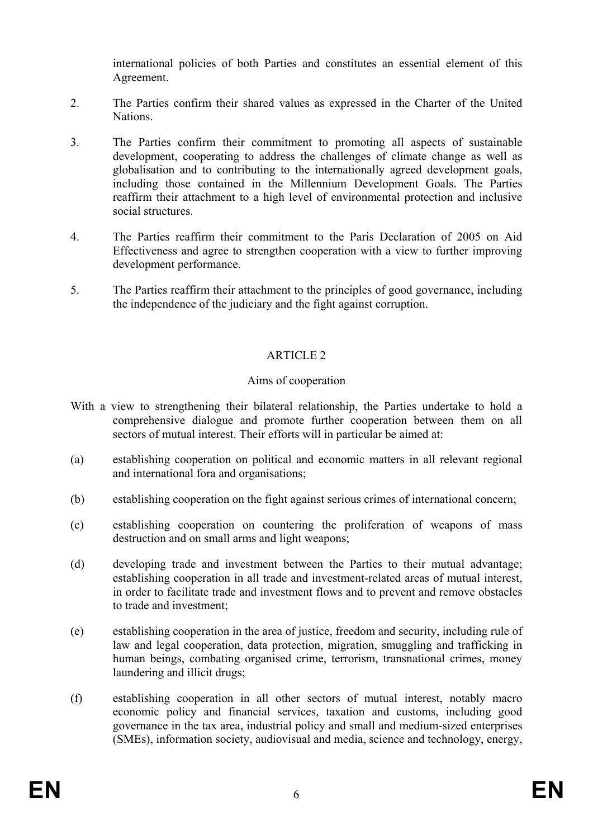international policies of both Parties and constitutes an essential element of this Agreement.

- 2. The Parties confirm their shared values as expressed in the Charter of the United **Nations**
- 3. The Parties confirm their commitment to promoting all aspects of sustainable development, cooperating to address the challenges of climate change as well as globalisation and to contributing to the internationally agreed development goals, including those contained in the Millennium Development Goals. The Parties reaffirm their attachment to a high level of environmental protection and inclusive social structures.
- 4. The Parties reaffirm their commitment to the Paris Declaration of 2005 on Aid Effectiveness and agree to strengthen cooperation with a view to further improving development performance.
- 5. The Parties reaffirm their attachment to the principles of good governance, including the independence of the judiciary and the fight against corruption.

### ARTICLE 2

#### Aims of cooperation

- With a view to strengthening their bilateral relationship, the Parties undertake to hold a comprehensive dialogue and promote further cooperation between them on all sectors of mutual interest. Their efforts will in particular be aimed at:
- (a) establishing cooperation on political and economic matters in all relevant regional and international fora and organisations;
- (b) establishing cooperation on the fight against serious crimes of international concern;
- (c) establishing cooperation on countering the proliferation of weapons of mass destruction and on small arms and light weapons;
- (d) developing trade and investment between the Parties to their mutual advantage; establishing cooperation in all trade and investment-related areas of mutual interest, in order to facilitate trade and investment flows and to prevent and remove obstacles to trade and investment;
- (e) establishing cooperation in the area of justice, freedom and security, including rule of law and legal cooperation, data protection, migration, smuggling and trafficking in human beings, combating organised crime, terrorism, transnational crimes, money laundering and illicit drugs;
- (f) establishing cooperation in all other sectors of mutual interest, notably macro economic policy and financial services, taxation and customs, including good governance in the tax area, industrial policy and small and medium-sized enterprises (SMEs), information society, audiovisual and media, science and technology, energy,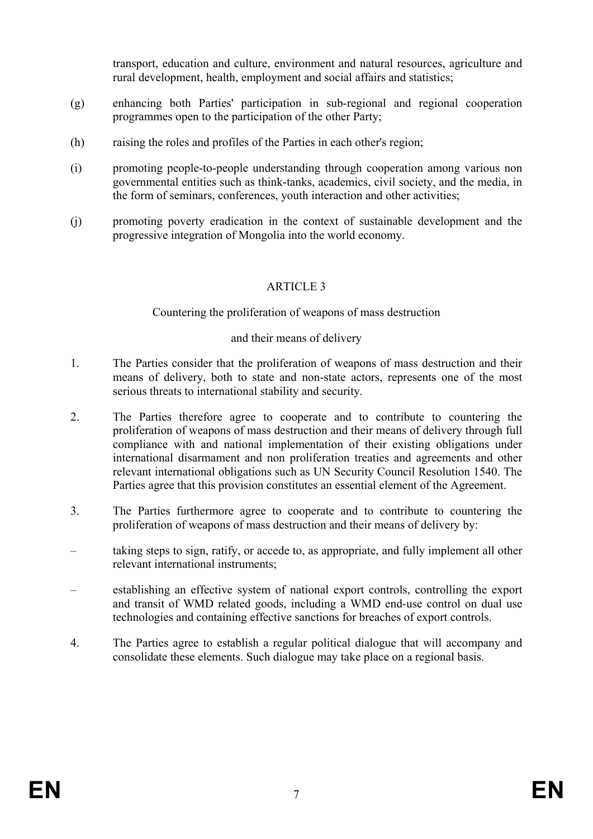transport, education and culture, environment and natural resources, agriculture and rural development, health, employment and social affairs and statistics;

- (g) enhancing both Parties' participation in sub-regional and regional cooperation programmes open to the participation of the other Party;
- (h) raising the roles and profiles of the Parties in each other's region;
- (i) promoting people-to-people understanding through cooperation among various non governmental entities such as think-tanks, academics, civil society, and the media, in the form of seminars, conferences, youth interaction and other activities;
- (j) promoting poverty eradication in the context of sustainable development and the progressive integration of Mongolia into the world economy.

## ARTICLE 3

Countering the proliferation of weapons of mass destruction

#### and their means of delivery

- 1. The Parties consider that the proliferation of weapons of mass destruction and their means of delivery, both to state and non-state actors, represents one of the most serious threats to international stability and security.
- 2. The Parties therefore agree to cooperate and to contribute to countering the proliferation of weapons of mass destruction and their means of delivery through full compliance with and national implementation of their existing obligations under international disarmament and non proliferation treaties and agreements and other relevant international obligations such as UN Security Council Resolution 1540. The Parties agree that this provision constitutes an essential element of the Agreement.
- 3. The Parties furthermore agree to cooperate and to contribute to countering the proliferation of weapons of mass destruction and their means of delivery by:
- taking steps to sign, ratify, or accede to, as appropriate, and fully implement all other relevant international instruments;
- establishing an effective system of national export controls, controlling the export and transit of WMD related goods, including a WMD end-use control on dual use technologies and containing effective sanctions for breaches of export controls.
- 4. The Parties agree to establish a regular political dialogue that will accompany and consolidate these elements. Such dialogue may take place on a regional basis.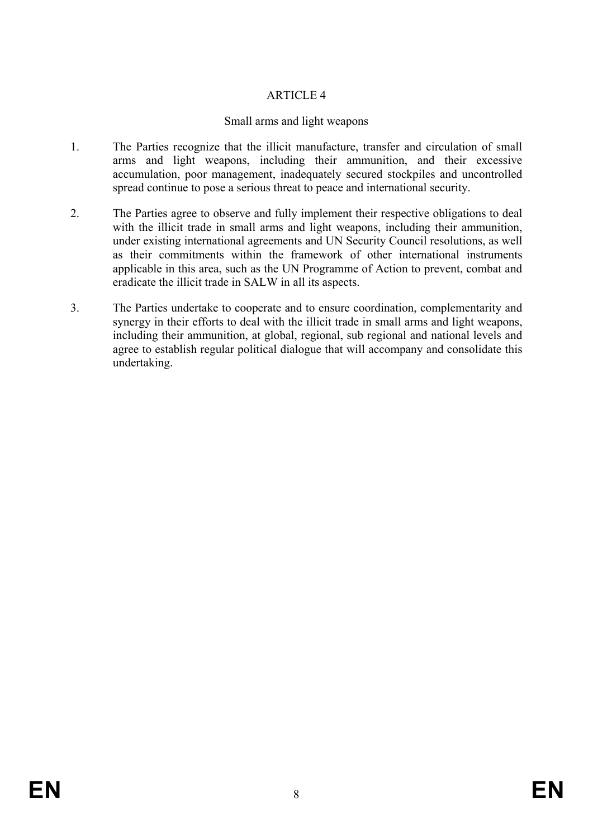## Small arms and light weapons

- 1. The Parties recognize that the illicit manufacture, transfer and circulation of small arms and light weapons, including their ammunition, and their excessive accumulation, poor management, inadequately secured stockpiles and uncontrolled spread continue to pose a serious threat to peace and international security.
- 2. The Parties agree to observe and fully implement their respective obligations to deal with the illicit trade in small arms and light weapons, including their ammunition, under existing international agreements and UN Security Council resolutions, as well as their commitments within the framework of other international instruments applicable in this area, such as the UN Programme of Action to prevent, combat and eradicate the illicit trade in SALW in all its aspects.
- 3. The Parties undertake to cooperate and to ensure coordination, complementarity and synergy in their efforts to deal with the illicit trade in small arms and light weapons, including their ammunition, at global, regional, sub regional and national levels and agree to establish regular political dialogue that will accompany and consolidate this undertaking.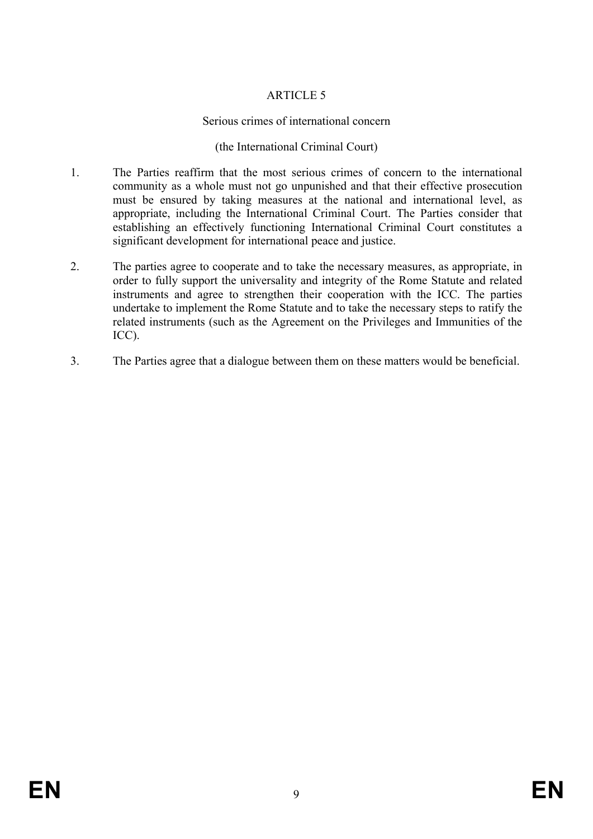## Serious crimes of international concern

### (the International Criminal Court)

- 1. The Parties reaffirm that the most serious crimes of concern to the international community as a whole must not go unpunished and that their effective prosecution must be ensured by taking measures at the national and international level, as appropriate, including the International Criminal Court. The Parties consider that establishing an effectively functioning International Criminal Court constitutes a significant development for international peace and justice.
- 2. The parties agree to cooperate and to take the necessary measures, as appropriate, in order to fully support the universality and integrity of the Rome Statute and related instruments and agree to strengthen their cooperation with the ICC. The parties undertake to implement the Rome Statute and to take the necessary steps to ratify the related instruments (such as the Agreement on the Privileges and Immunities of the ICC).
- 3. The Parties agree that a dialogue between them on these matters would be beneficial.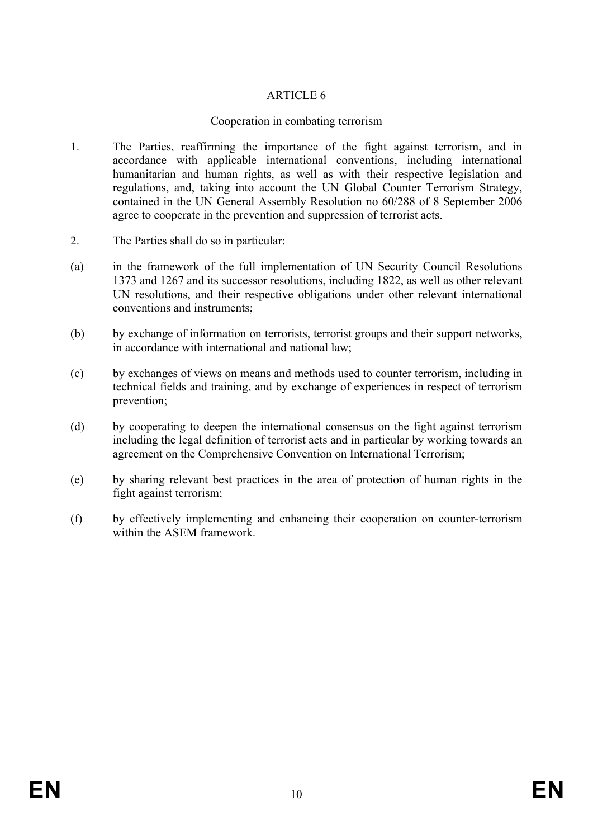### Cooperation in combating terrorism

- 1. The Parties, reaffirming the importance of the fight against terrorism, and in accordance with applicable international conventions, including international humanitarian and human rights, as well as with their respective legislation and regulations, and, taking into account the UN Global Counter Terrorism Strategy, contained in the UN General Assembly Resolution no 60/288 of 8 September 2006 agree to cooperate in the prevention and suppression of terrorist acts.
- 2. The Parties shall do so in particular:
- (a) in the framework of the full implementation of UN Security Council Resolutions 1373 and 1267 and its successor resolutions, including 1822, as well as other relevant UN resolutions, and their respective obligations under other relevant international conventions and instruments;
- (b) by exchange of information on terrorists, terrorist groups and their support networks, in accordance with international and national law;
- (c) by exchanges of views on means and methods used to counter terrorism, including in technical fields and training, and by exchange of experiences in respect of terrorism prevention;
- (d) by cooperating to deepen the international consensus on the fight against terrorism including the legal definition of terrorist acts and in particular by working towards an agreement on the Comprehensive Convention on International Terrorism;
- (e) by sharing relevant best practices in the area of protection of human rights in the fight against terrorism;
- (f) by effectively implementing and enhancing their cooperation on counter-terrorism within the ASEM framework.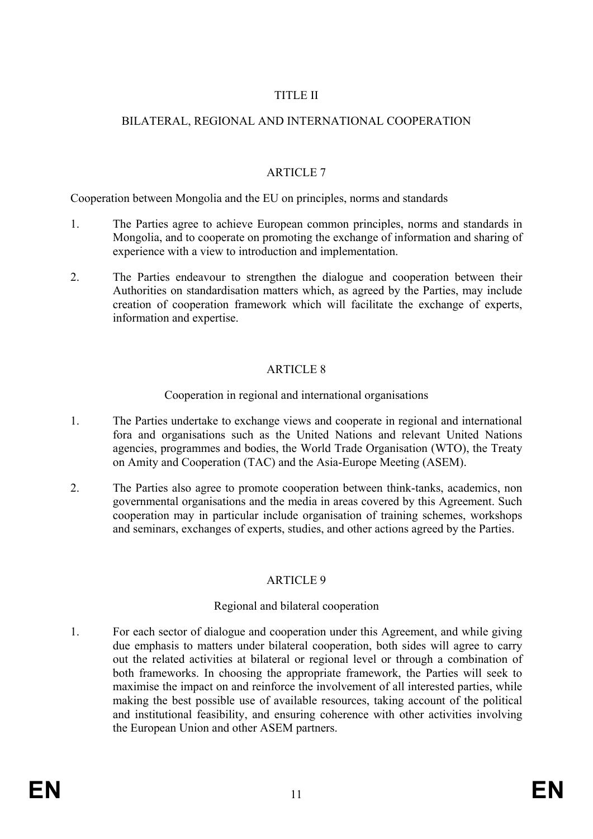## TITLE II

## BILATERAL, REGIONAL AND INTERNATIONAL COOPERATION

## ARTICLE 7

Cooperation between Mongolia and the EU on principles, norms and standards

- 1. The Parties agree to achieve European common principles, norms and standards in Mongolia, and to cooperate on promoting the exchange of information and sharing of experience with a view to introduction and implementation.
- 2. The Parties endeavour to strengthen the dialogue and cooperation between their Authorities on standardisation matters which, as agreed by the Parties, may include creation of cooperation framework which will facilitate the exchange of experts, information and expertise.

# ARTICLE 8

### Cooperation in regional and international organisations

- 1. The Parties undertake to exchange views and cooperate in regional and international fora and organisations such as the United Nations and relevant United Nations agencies, programmes and bodies, the World Trade Organisation (WTO), the Treaty on Amity and Cooperation (TAC) and the Asia-Europe Meeting (ASEM).
- 2. The Parties also agree to promote cooperation between think-tanks, academics, non governmental organisations and the media in areas covered by this Agreement. Such cooperation may in particular include organisation of training schemes, workshops and seminars, exchanges of experts, studies, and other actions agreed by the Parties.

# **ARTICLE 9**

# Regional and bilateral cooperation

1. For each sector of dialogue and cooperation under this Agreement, and while giving due emphasis to matters under bilateral cooperation, both sides will agree to carry out the related activities at bilateral or regional level or through a combination of both frameworks. In choosing the appropriate framework, the Parties will seek to maximise the impact on and reinforce the involvement of all interested parties, while making the best possible use of available resources, taking account of the political and institutional feasibility, and ensuring coherence with other activities involving the European Union and other ASEM partners.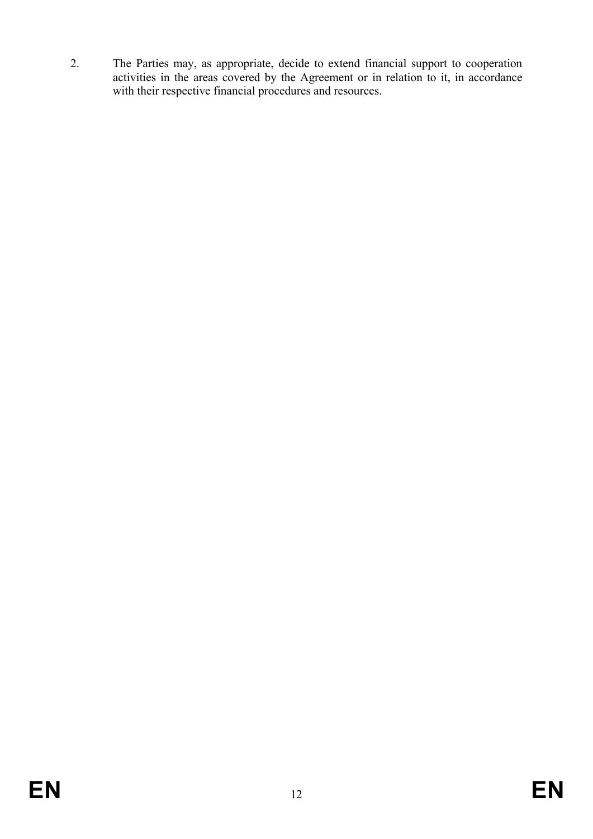2. The Parties may, as appropriate, decide to extend financial support to cooperation activities in the areas covered by the Agreement or in relation to it, in accordance with their respective financial procedures and resources.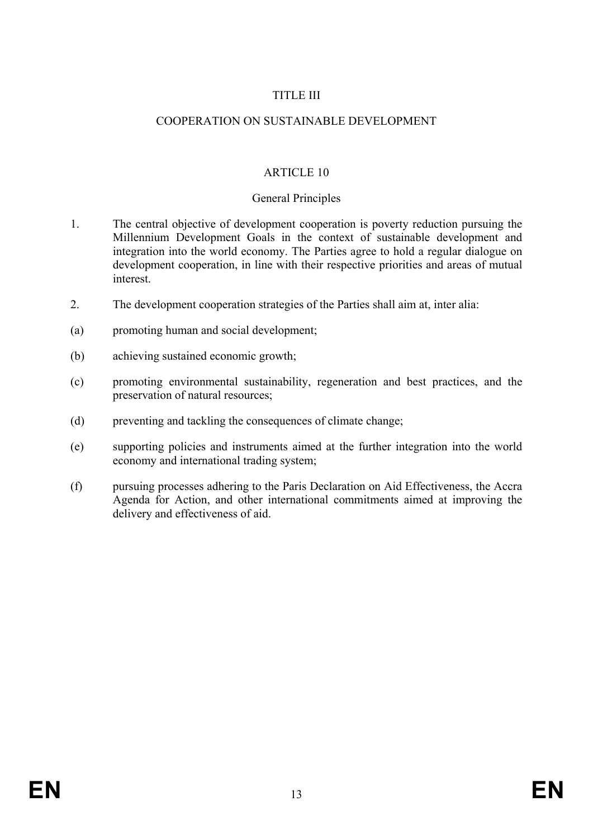### TITLE III

### COOPERATION ON SUSTAINABLE DEVELOPMENT

### ARTICLE 10

#### General Principles

- 1. The central objective of development cooperation is poverty reduction pursuing the Millennium Development Goals in the context of sustainable development and integration into the world economy. The Parties agree to hold a regular dialogue on development cooperation, in line with their respective priorities and areas of mutual interest.
- 2. The development cooperation strategies of the Parties shall aim at, inter alia:
- (a) promoting human and social development;
- (b) achieving sustained economic growth;
- (c) promoting environmental sustainability, regeneration and best practices, and the preservation of natural resources;
- (d) preventing and tackling the consequences of climate change;
- (e) supporting policies and instruments aimed at the further integration into the world economy and international trading system;
- (f) pursuing processes adhering to the Paris Declaration on Aid Effectiveness, the Accra Agenda for Action, and other international commitments aimed at improving the delivery and effectiveness of aid.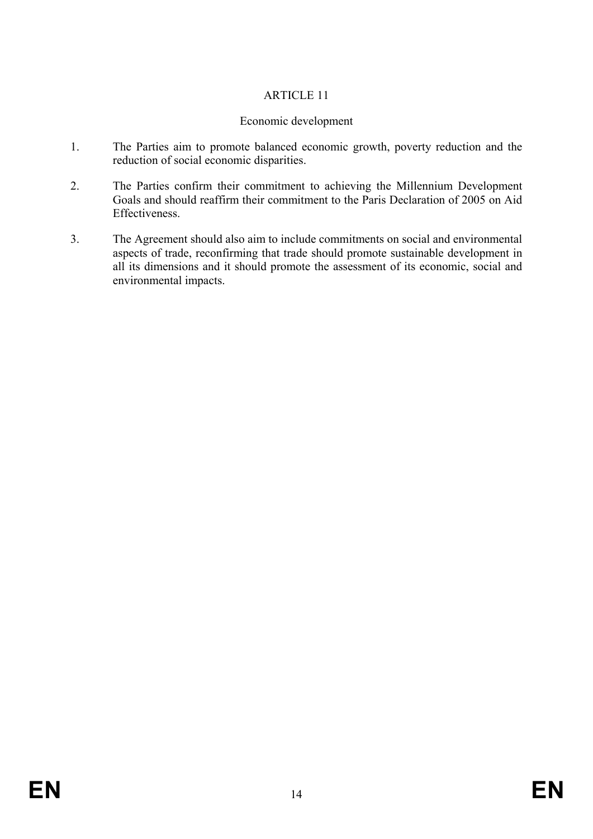## Economic development

- 1. The Parties aim to promote balanced economic growth, poverty reduction and the reduction of social economic disparities.
- 2. The Parties confirm their commitment to achieving the Millennium Development Goals and should reaffirm their commitment to the Paris Declaration of 2005 on Aid Effectiveness.
- 3. The Agreement should also aim to include commitments on social and environmental aspects of trade, reconfirming that trade should promote sustainable development in all its dimensions and it should promote the assessment of its economic, social and environmental impacts.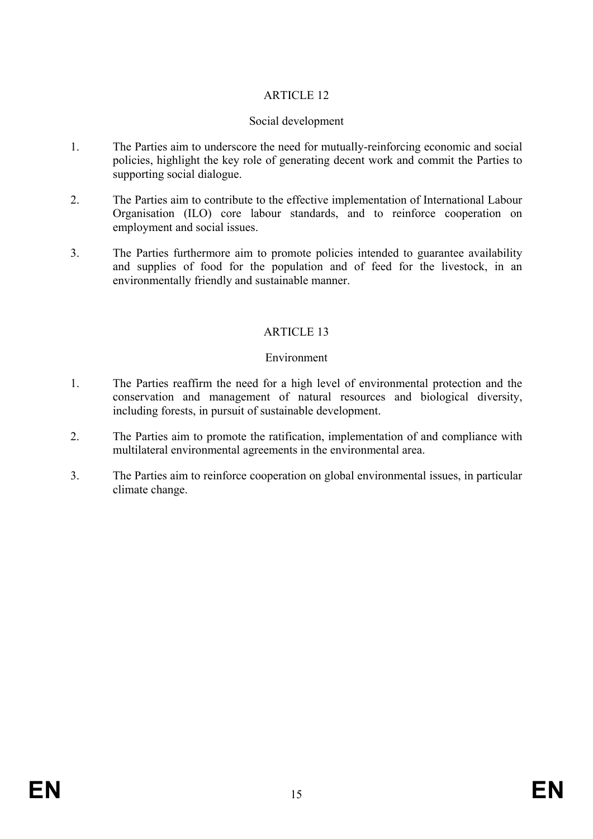## Social development

- 1. The Parties aim to underscore the need for mutually-reinforcing economic and social policies, highlight the key role of generating decent work and commit the Parties to supporting social dialogue.
- 2. The Parties aim to contribute to the effective implementation of International Labour Organisation (ILO) core labour standards, and to reinforce cooperation on employment and social issues.
- 3. The Parties furthermore aim to promote policies intended to guarantee availability and supplies of food for the population and of feed for the livestock, in an environmentally friendly and sustainable manner.

# ARTICLE 13

#### Environment

- 1. The Parties reaffirm the need for a high level of environmental protection and the conservation and management of natural resources and biological diversity, including forests, in pursuit of sustainable development.
- 2. The Parties aim to promote the ratification, implementation of and compliance with multilateral environmental agreements in the environmental area.
- 3. The Parties aim to reinforce cooperation on global environmental issues, in particular climate change.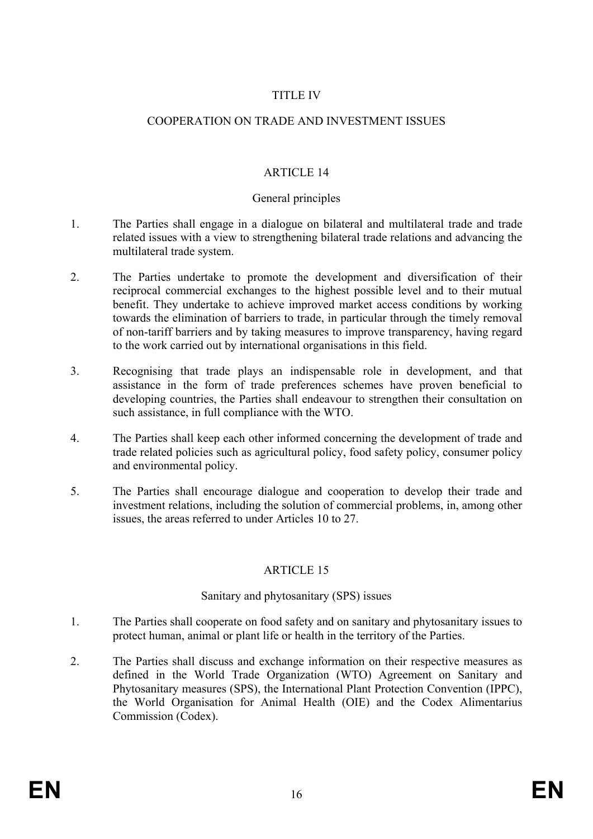### TITLE IV

### COOPERATION ON TRADE AND INVESTMENT ISSUES

### ARTICLE 14

#### General principles

- 1. The Parties shall engage in a dialogue on bilateral and multilateral trade and trade related issues with a view to strengthening bilateral trade relations and advancing the multilateral trade system.
- 2. The Parties undertake to promote the development and diversification of their reciprocal commercial exchanges to the highest possible level and to their mutual benefit. They undertake to achieve improved market access conditions by working towards the elimination of barriers to trade, in particular through the timely removal of non-tariff barriers and by taking measures to improve transparency, having regard to the work carried out by international organisations in this field.
- 3. Recognising that trade plays an indispensable role in development, and that assistance in the form of trade preferences schemes have proven beneficial to developing countries, the Parties shall endeavour to strengthen their consultation on such assistance, in full compliance with the WTO.
- 4. The Parties shall keep each other informed concerning the development of trade and trade related policies such as agricultural policy, food safety policy, consumer policy and environmental policy.
- 5. The Parties shall encourage dialogue and cooperation to develop their trade and investment relations, including the solution of commercial problems, in, among other issues, the areas referred to under Articles 10 to 27.

### ARTICLE 15

#### Sanitary and phytosanitary (SPS) issues

- 1. The Parties shall cooperate on food safety and on sanitary and phytosanitary issues to protect human, animal or plant life or health in the territory of the Parties.
- 2. The Parties shall discuss and exchange information on their respective measures as defined in the World Trade Organization (WTO) Agreement on Sanitary and Phytosanitary measures (SPS), the International Plant Protection Convention (IPPC), the World Organisation for Animal Health (OIE) and the Codex Alimentarius Commission (Codex).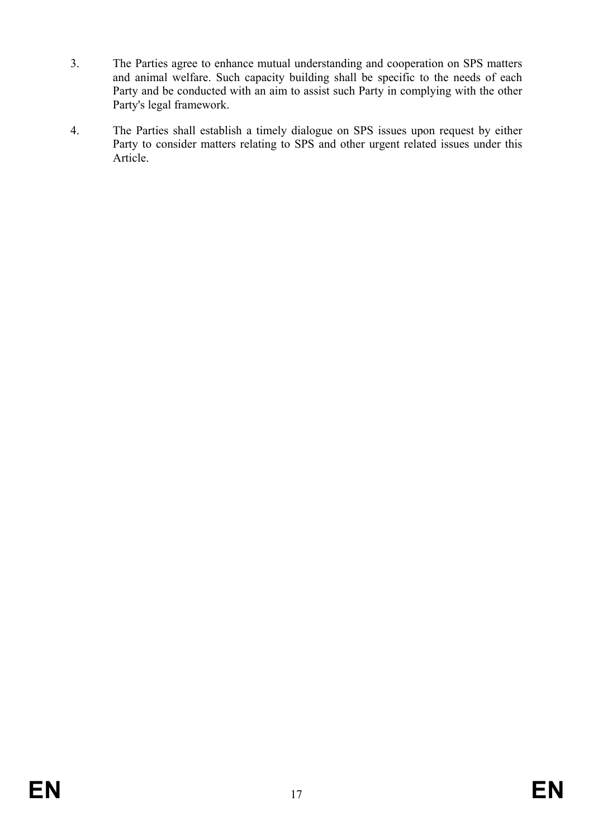- 3. The Parties agree to enhance mutual understanding and cooperation on SPS matters and animal welfare. Such capacity building shall be specific to the needs of each Party and be conducted with an aim to assist such Party in complying with the other Party's legal framework.
- 4. The Parties shall establish a timely dialogue on SPS issues upon request by either Party to consider matters relating to SPS and other urgent related issues under this Article.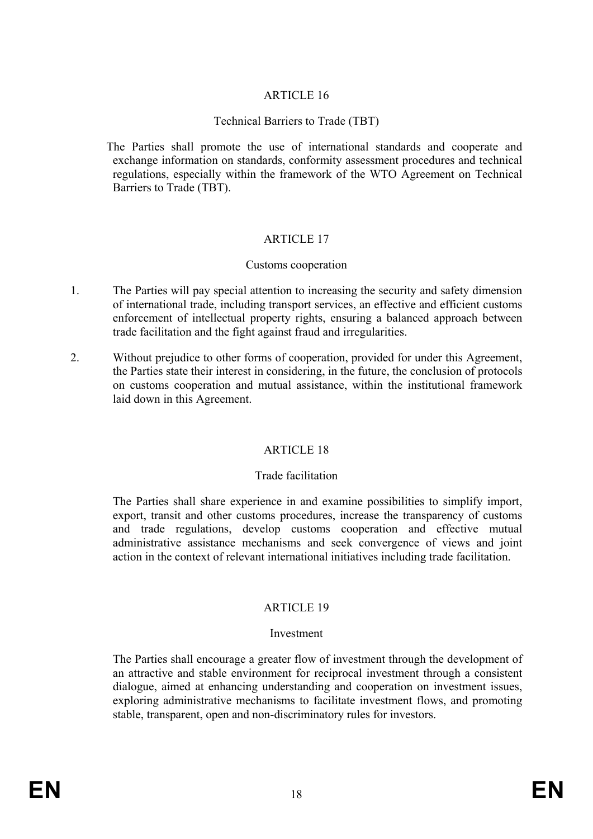### Technical Barriers to Trade (TBT)

The Parties shall promote the use of international standards and cooperate and exchange information on standards, conformity assessment procedures and technical regulations, especially within the framework of the WTO Agreement on Technical Barriers to Trade (TBT).

### ARTICLE 17

#### Customs cooperation

- 1. The Parties will pay special attention to increasing the security and safety dimension of international trade, including transport services, an effective and efficient customs enforcement of intellectual property rights, ensuring a balanced approach between trade facilitation and the fight against fraud and irregularities.
- 2. Without prejudice to other forms of cooperation, provided for under this Agreement, the Parties state their interest in considering, in the future, the conclusion of protocols on customs cooperation and mutual assistance, within the institutional framework laid down in this Agreement.

#### ARTICLE 18

#### Trade facilitation

The Parties shall share experience in and examine possibilities to simplify import, export, transit and other customs procedures, increase the transparency of customs and trade regulations, develop customs cooperation and effective mutual administrative assistance mechanisms and seek convergence of views and joint action in the context of relevant international initiatives including trade facilitation.

#### **ARTICLE 19**

#### Investment

The Parties shall encourage a greater flow of investment through the development of an attractive and stable environment for reciprocal investment through a consistent dialogue, aimed at enhancing understanding and cooperation on investment issues, exploring administrative mechanisms to facilitate investment flows, and promoting stable, transparent, open and non-discriminatory rules for investors.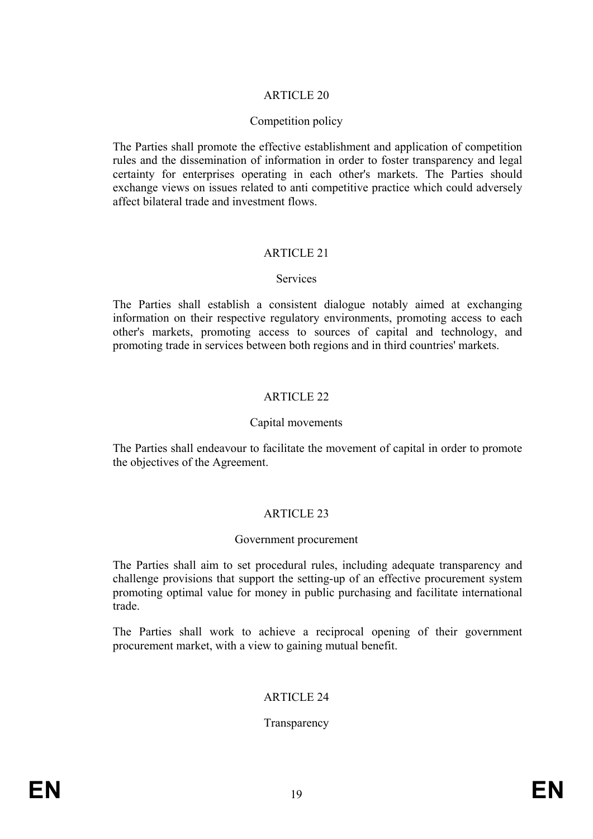#### Competition policy

The Parties shall promote the effective establishment and application of competition rules and the dissemination of information in order to foster transparency and legal certainty for enterprises operating in each other's markets. The Parties should exchange views on issues related to anti competitive practice which could adversely affect bilateral trade and investment flows.

#### ARTICLE 21

#### Services

The Parties shall establish a consistent dialogue notably aimed at exchanging information on their respective regulatory environments, promoting access to each other's markets, promoting access to sources of capital and technology, and promoting trade in services between both regions and in third countries' markets.

#### ARTICLE 22

#### Capital movements

The Parties shall endeavour to facilitate the movement of capital in order to promote the objectives of the Agreement.

### ARTICLE 23

#### Government procurement

The Parties shall aim to set procedural rules, including adequate transparency and challenge provisions that support the setting-up of an effective procurement system promoting optimal value for money in public purchasing and facilitate international trade.

The Parties shall work to achieve a reciprocal opening of their government procurement market, with a view to gaining mutual benefit.

#### ARTICLE 24

#### Transparency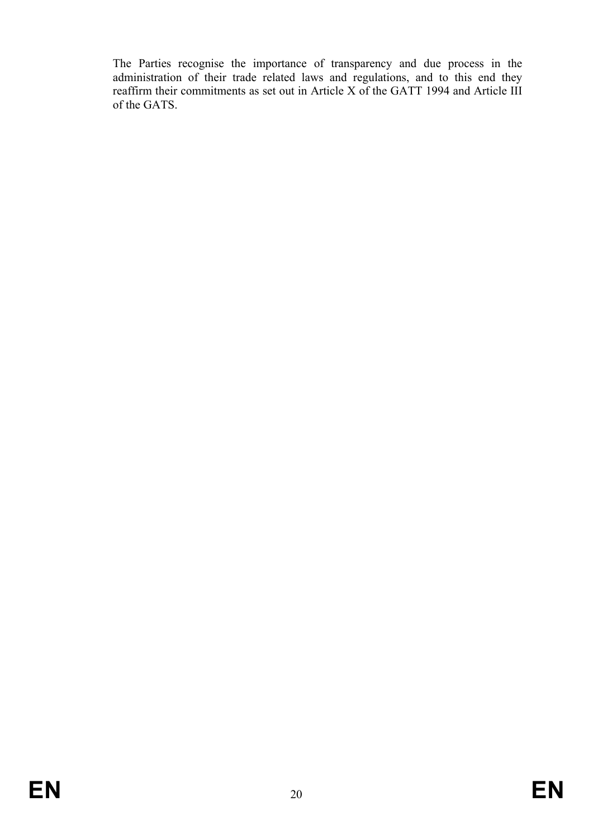The Parties recognise the importance of transparency and due process in the administration of their trade related laws and regulations, and to this end they reaffirm their commitments as set out in Article X of the GATT 1994 and Article III of the GATS.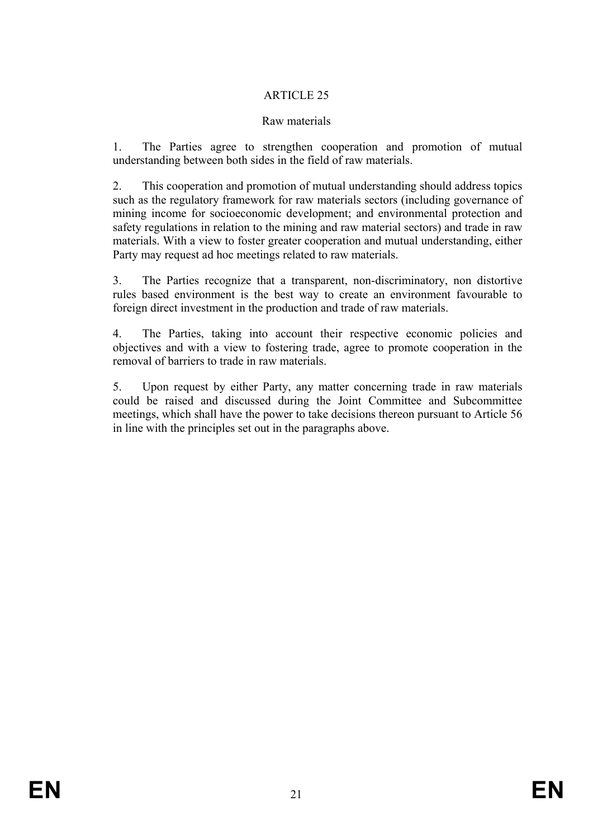#### Raw materials

1. The Parties agree to strengthen cooperation and promotion of mutual understanding between both sides in the field of raw materials.

2. This cooperation and promotion of mutual understanding should address topics such as the regulatory framework for raw materials sectors (including governance of mining income for socioeconomic development; and environmental protection and safety regulations in relation to the mining and raw material sectors) and trade in raw materials. With a view to foster greater cooperation and mutual understanding, either Party may request ad hoc meetings related to raw materials.

3. The Parties recognize that a transparent, non-discriminatory, non distortive rules based environment is the best way to create an environment favourable to foreign direct investment in the production and trade of raw materials.

4. The Parties, taking into account their respective economic policies and objectives and with a view to fostering trade, agree to promote cooperation in the removal of barriers to trade in raw materials.

5. Upon request by either Party, any matter concerning trade in raw materials could be raised and discussed during the Joint Committee and Subcommittee meetings, which shall have the power to take decisions thereon pursuant to Article 56 in line with the principles set out in the paragraphs above.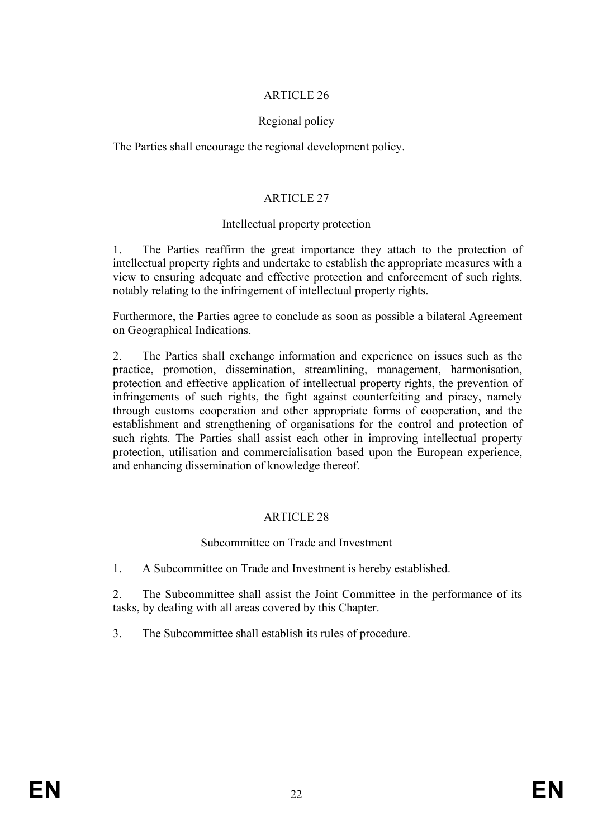### Regional policy

The Parties shall encourage the regional development policy.

### ARTICLE 27

#### Intellectual property protection

1. The Parties reaffirm the great importance they attach to the protection of intellectual property rights and undertake to establish the appropriate measures with a view to ensuring adequate and effective protection and enforcement of such rights, notably relating to the infringement of intellectual property rights.

Furthermore, the Parties agree to conclude as soon as possible a bilateral Agreement on Geographical Indications.

2. The Parties shall exchange information and experience on issues such as the practice, promotion, dissemination, streamlining, management, harmonisation, protection and effective application of intellectual property rights, the prevention of infringements of such rights, the fight against counterfeiting and piracy, namely through customs cooperation and other appropriate forms of cooperation, and the establishment and strengthening of organisations for the control and protection of such rights. The Parties shall assist each other in improving intellectual property protection, utilisation and commercialisation based upon the European experience, and enhancing dissemination of knowledge thereof.

### ARTICLE 28

#### Subcommittee on Trade and Investment

1. A Subcommittee on Trade and Investment is hereby established.

2. The Subcommittee shall assist the Joint Committee in the performance of its tasks, by dealing with all areas covered by this Chapter.

3. The Subcommittee shall establish its rules of procedure.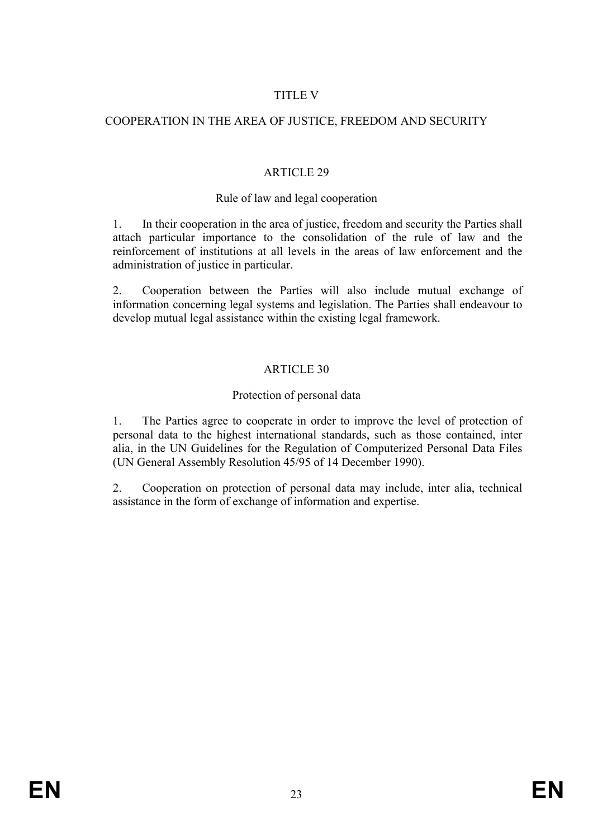## TITLE V

### COOPERATION IN THE AREA OF JUSTICE, FREEDOM AND SECURITY

#### ARTICLE 29

#### Rule of law and legal cooperation

1. In their cooperation in the area of justice, freedom and security the Parties shall attach particular importance to the consolidation of the rule of law and the reinforcement of institutions at all levels in the areas of law enforcement and the administration of justice in particular.

2. Cooperation between the Parties will also include mutual exchange of information concerning legal systems and legislation. The Parties shall endeavour to develop mutual legal assistance within the existing legal framework.

### ARTICLE 30

#### Protection of personal data

1. The Parties agree to cooperate in order to improve the level of protection of personal data to the highest international standards, such as those contained, inter alia, in the UN Guidelines for the Regulation of Computerized Personal Data Files (UN General Assembly Resolution 45/95 of 14 December 1990).

2. Cooperation on protection of personal data may include, inter alia, technical assistance in the form of exchange of information and expertise.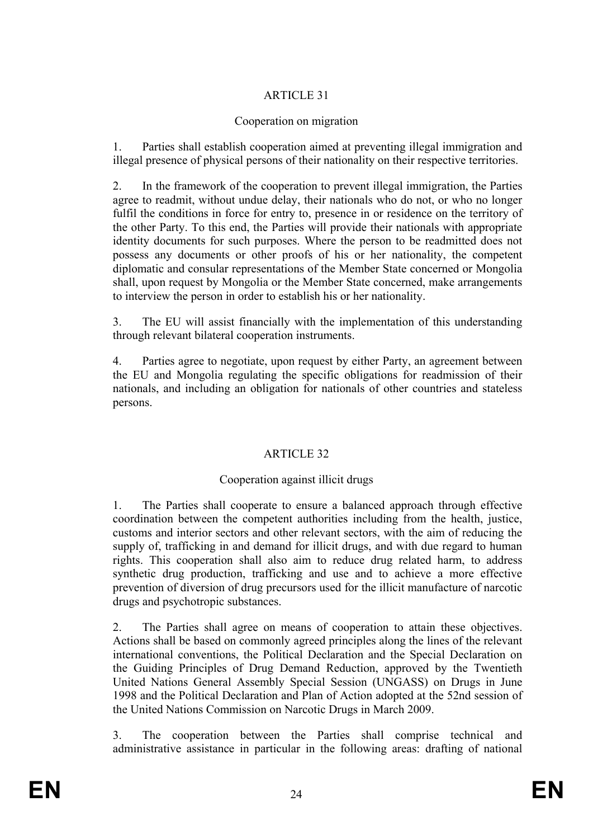### Cooperation on migration

1. Parties shall establish cooperation aimed at preventing illegal immigration and illegal presence of physical persons of their nationality on their respective territories.

2. In the framework of the cooperation to prevent illegal immigration, the Parties agree to readmit, without undue delay, their nationals who do not, or who no longer fulfil the conditions in force for entry to, presence in or residence on the territory of the other Party. To this end, the Parties will provide their nationals with appropriate identity documents for such purposes. Where the person to be readmitted does not possess any documents or other proofs of his or her nationality, the competent diplomatic and consular representations of the Member State concerned or Mongolia shall, upon request by Mongolia or the Member State concerned, make arrangements to interview the person in order to establish his or her nationality.

3. The EU will assist financially with the implementation of this understanding through relevant bilateral cooperation instruments.

4. Parties agree to negotiate, upon request by either Party, an agreement between the EU and Mongolia regulating the specific obligations for readmission of their nationals, and including an obligation for nationals of other countries and stateless persons.

# ARTICLE 32

### Cooperation against illicit drugs

1. The Parties shall cooperate to ensure a balanced approach through effective coordination between the competent authorities including from the health, justice, customs and interior sectors and other relevant sectors, with the aim of reducing the supply of, trafficking in and demand for illicit drugs, and with due regard to human rights. This cooperation shall also aim to reduce drug related harm, to address synthetic drug production, trafficking and use and to achieve a more effective prevention of diversion of drug precursors used for the illicit manufacture of narcotic drugs and psychotropic substances.

2. The Parties shall agree on means of cooperation to attain these objectives. Actions shall be based on commonly agreed principles along the lines of the relevant international conventions, the Political Declaration and the Special Declaration on the Guiding Principles of Drug Demand Reduction, approved by the Twentieth United Nations General Assembly Special Session (UNGASS) on Drugs in June 1998 and the Political Declaration and Plan of Action adopted at the 52nd session of the United Nations Commission on Narcotic Drugs in March 2009.

3. The cooperation between the Parties shall comprise technical and administrative assistance in particular in the following areas: drafting of national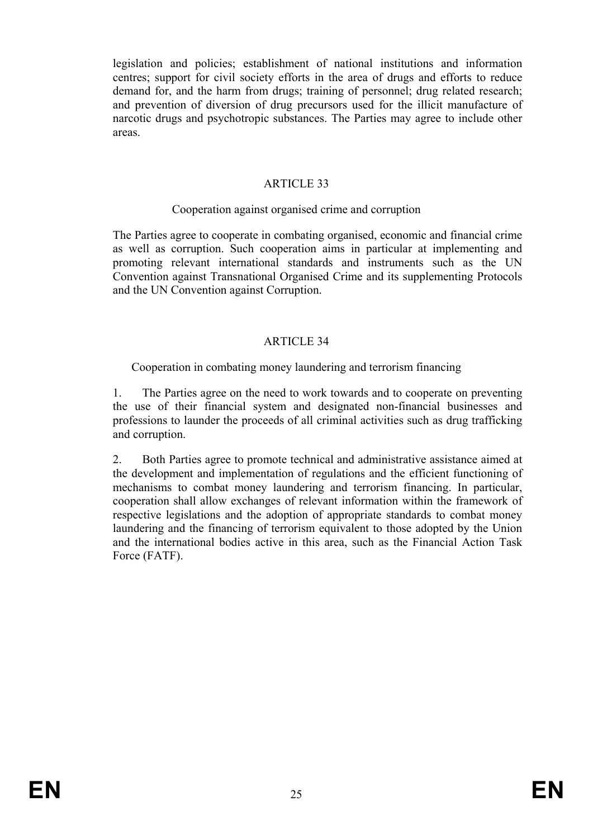legislation and policies; establishment of national institutions and information centres; support for civil society efforts in the area of drugs and efforts to reduce demand for, and the harm from drugs; training of personnel; drug related research; and prevention of diversion of drug precursors used for the illicit manufacture of narcotic drugs and psychotropic substances. The Parties may agree to include other areas.

### ARTICLE 33

#### Cooperation against organised crime and corruption

The Parties agree to cooperate in combating organised, economic and financial crime as well as corruption. Such cooperation aims in particular at implementing and promoting relevant international standards and instruments such as the UN Convention against Transnational Organised Crime and its supplementing Protocols and the UN Convention against Corruption.

#### ARTICLE 34

#### Cooperation in combating money laundering and terrorism financing

1. The Parties agree on the need to work towards and to cooperate on preventing the use of their financial system and designated non-financial businesses and professions to launder the proceeds of all criminal activities such as drug trafficking and corruption.

2. Both Parties agree to promote technical and administrative assistance aimed at the development and implementation of regulations and the efficient functioning of mechanisms to combat money laundering and terrorism financing. In particular, cooperation shall allow exchanges of relevant information within the framework of respective legislations and the adoption of appropriate standards to combat money laundering and the financing of terrorism equivalent to those adopted by the Union and the international bodies active in this area, such as the Financial Action Task Force (FATF).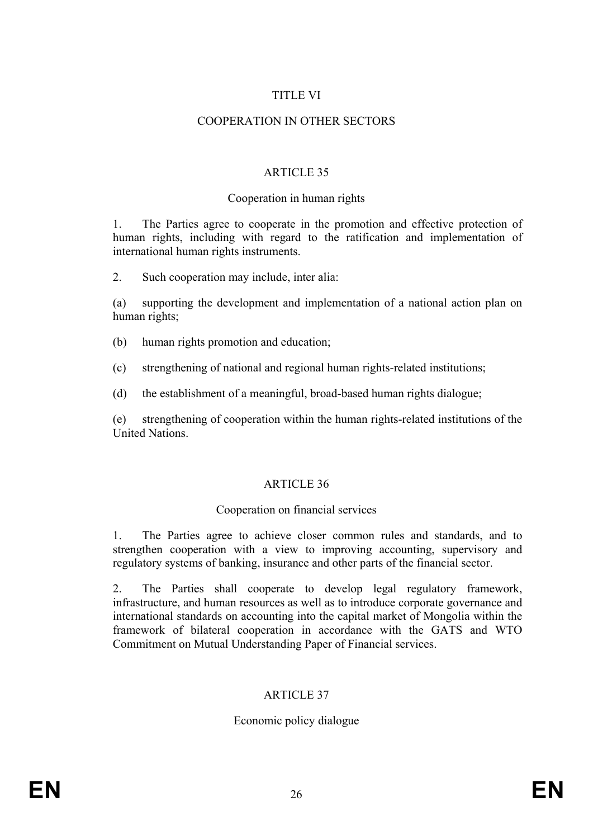### TITLE VI

## COOPERATION IN OTHER SECTORS

### ARTICLE 35

#### Cooperation in human rights

1. The Parties agree to cooperate in the promotion and effective protection of human rights, including with regard to the ratification and implementation of international human rights instruments.

2. Such cooperation may include, inter alia:

(a) supporting the development and implementation of a national action plan on human rights;

(b) human rights promotion and education;

(c) strengthening of national and regional human rights-related institutions;

(d) the establishment of a meaningful, broad-based human rights dialogue;

(e) strengthening of cooperation within the human rights-related institutions of the United Nations.

### ARTICLE 36

#### Cooperation on financial services

1. The Parties agree to achieve closer common rules and standards, and to strengthen cooperation with a view to improving accounting, supervisory and regulatory systems of banking, insurance and other parts of the financial sector.

2. The Parties shall cooperate to develop legal regulatory framework, infrastructure, and human resources as well as to introduce corporate governance and international standards on accounting into the capital market of Mongolia within the framework of bilateral cooperation in accordance with the GATS and WTO Commitment on Mutual Understanding Paper of Financial services.

### ARTICLE 37

### Economic policy dialogue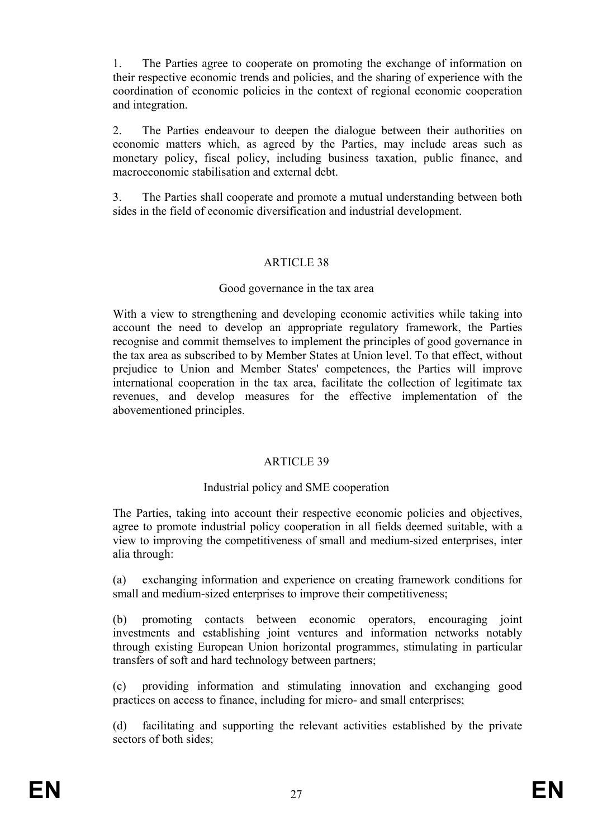1. The Parties agree to cooperate on promoting the exchange of information on their respective economic trends and policies, and the sharing of experience with the coordination of economic policies in the context of regional economic cooperation and integration.

2. The Parties endeavour to deepen the dialogue between their authorities on economic matters which, as agreed by the Parties, may include areas such as monetary policy, fiscal policy, including business taxation, public finance, and macroeconomic stabilisation and external debt.

3. The Parties shall cooperate and promote a mutual understanding between both sides in the field of economic diversification and industrial development.

#### ARTICLE 38

#### Good governance in the tax area

With a view to strengthening and developing economic activities while taking into account the need to develop an appropriate regulatory framework, the Parties recognise and commit themselves to implement the principles of good governance in the tax area as subscribed to by Member States at Union level. To that effect, without prejudice to Union and Member States' competences, the Parties will improve international cooperation in the tax area, facilitate the collection of legitimate tax revenues, and develop measures for the effective implementation of the abovementioned principles.

#### ARTICLE 39

#### Industrial policy and SME cooperation

The Parties, taking into account their respective economic policies and objectives, agree to promote industrial policy cooperation in all fields deemed suitable, with a view to improving the competitiveness of small and medium-sized enterprises, inter alia through:

(a) exchanging information and experience on creating framework conditions for small and medium-sized enterprises to improve their competitiveness;

(b) promoting contacts between economic operators, encouraging joint investments and establishing joint ventures and information networks notably through existing European Union horizontal programmes, stimulating in particular transfers of soft and hard technology between partners;

(c) providing information and stimulating innovation and exchanging good practices on access to finance, including for micro- and small enterprises;

(d) facilitating and supporting the relevant activities established by the private sectors of both sides;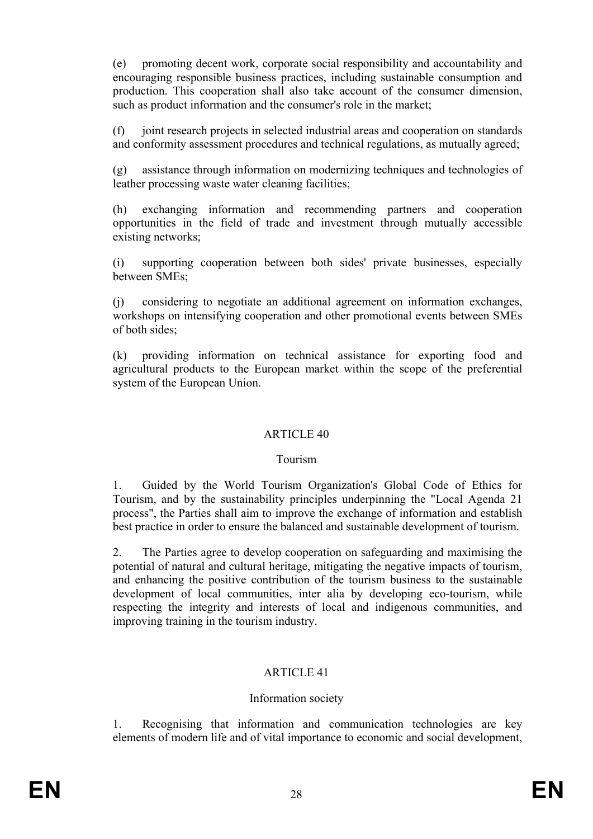(e) promoting decent work, corporate social responsibility and accountability and encouraging responsible business practices, including sustainable consumption and production. This cooperation shall also take account of the consumer dimension, such as product information and the consumer's role in the market;

(f) joint research projects in selected industrial areas and cooperation on standards and conformity assessment procedures and technical regulations, as mutually agreed;

(g) assistance through information on modernizing techniques and technologies of leather processing waste water cleaning facilities;

(h) exchanging information and recommending partners and cooperation opportunities in the field of trade and investment through mutually accessible existing networks;

(i) supporting cooperation between both sides' private businesses, especially between SMEs;

(j) considering to negotiate an additional agreement on information exchanges, workshops on intensifying cooperation and other promotional events between SMEs of both sides;

(k) providing information on technical assistance for exporting food and agricultural products to the European market within the scope of the preferential system of the European Union.

### ARTICLE 40

### Tourism

1. Guided by the World Tourism Organization's Global Code of Ethics for Tourism, and by the sustainability principles underpinning the "Local Agenda 21 process", the Parties shall aim to improve the exchange of information and establish best practice in order to ensure the balanced and sustainable development of tourism.

2. The Parties agree to develop cooperation on safeguarding and maximising the potential of natural and cultural heritage, mitigating the negative impacts of tourism, and enhancing the positive contribution of the tourism business to the sustainable development of local communities, inter alia by developing eco-tourism, while respecting the integrity and interests of local and indigenous communities, and improving training in the tourism industry.

# ARTICLE 41

### Information society

1. Recognising that information and communication technologies are key elements of modern life and of vital importance to economic and social development,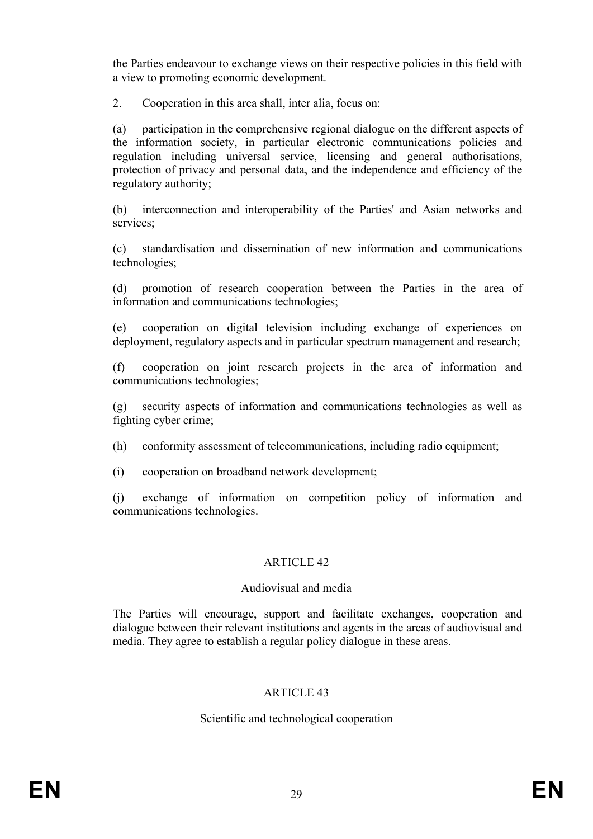the Parties endeavour to exchange views on their respective policies in this field with a view to promoting economic development.

2. Cooperation in this area shall, inter alia, focus on:

(a) participation in the comprehensive regional dialogue on the different aspects of the information society, in particular electronic communications policies and regulation including universal service, licensing and general authorisations, protection of privacy and personal data, and the independence and efficiency of the regulatory authority;

(b) interconnection and interoperability of the Parties' and Asian networks and services;

(c) standardisation and dissemination of new information and communications technologies;

(d) promotion of research cooperation between the Parties in the area of information and communications technologies;

(e) cooperation on digital television including exchange of experiences on deployment, regulatory aspects and in particular spectrum management and research;

(f) cooperation on joint research projects in the area of information and communications technologies;

(g) security aspects of information and communications technologies as well as fighting cyber crime;

- (h) conformity assessment of telecommunications, including radio equipment;
- (i) cooperation on broadband network development;

(j) exchange of information on competition policy of information and communications technologies.

### ARTICLE 42

#### Audiovisual and media

The Parties will encourage, support and facilitate exchanges, cooperation and dialogue between their relevant institutions and agents in the areas of audiovisual and media. They agree to establish a regular policy dialogue in these areas.

### ARTICLE 43

#### Scientific and technological cooperation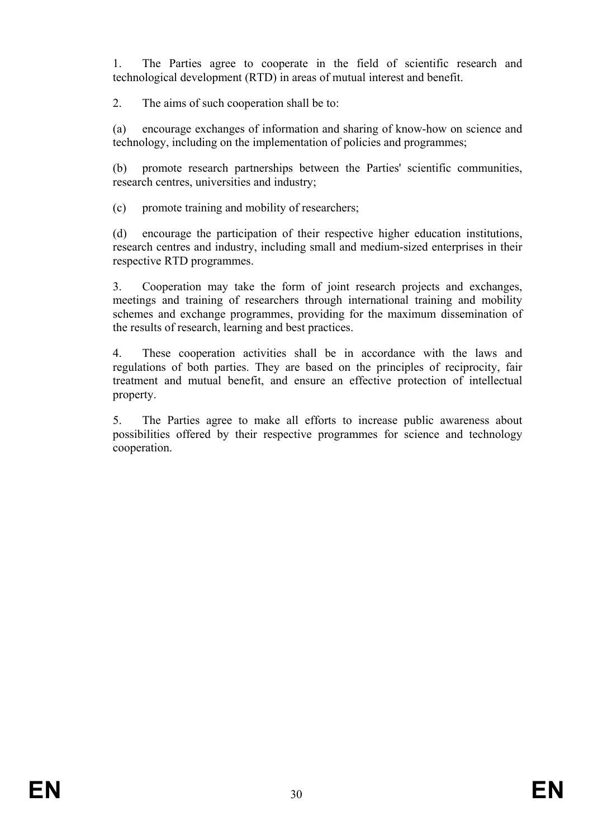1. The Parties agree to cooperate in the field of scientific research and technological development (RTD) in areas of mutual interest and benefit.

2. The aims of such cooperation shall be to:

(a) encourage exchanges of information and sharing of know-how on science and technology, including on the implementation of policies and programmes;

(b) promote research partnerships between the Parties' scientific communities, research centres, universities and industry;

(c) promote training and mobility of researchers;

(d) encourage the participation of their respective higher education institutions, research centres and industry, including small and medium-sized enterprises in their respective RTD programmes.

3. Cooperation may take the form of joint research projects and exchanges, meetings and training of researchers through international training and mobility schemes and exchange programmes, providing for the maximum dissemination of the results of research, learning and best practices.

4. These cooperation activities shall be in accordance with the laws and regulations of both parties. They are based on the principles of reciprocity, fair treatment and mutual benefit, and ensure an effective protection of intellectual property.

5. The Parties agree to make all efforts to increase public awareness about possibilities offered by their respective programmes for science and technology cooperation.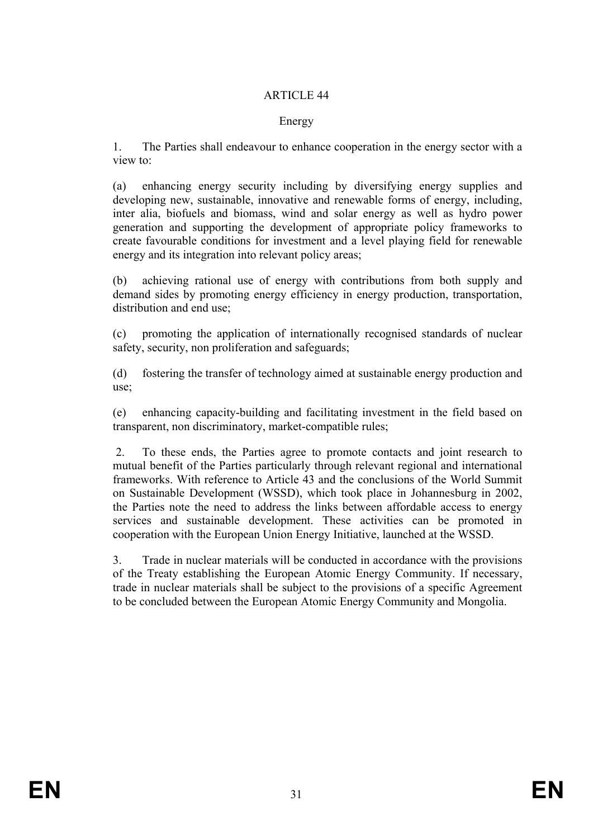#### Energy

1. The Parties shall endeavour to enhance cooperation in the energy sector with a view to:

(a) enhancing energy security including by diversifying energy supplies and developing new, sustainable, innovative and renewable forms of energy, including, inter alia, biofuels and biomass, wind and solar energy as well as hydro power generation and supporting the development of appropriate policy frameworks to create favourable conditions for investment and a level playing field for renewable energy and its integration into relevant policy areas;

(b) achieving rational use of energy with contributions from both supply and demand sides by promoting energy efficiency in energy production, transportation, distribution and end use;

(c) promoting the application of internationally recognised standards of nuclear safety, security, non proliferation and safeguards;

(d) fostering the transfer of technology aimed at sustainable energy production and use;

(e) enhancing capacity-building and facilitating investment in the field based on transparent, non discriminatory, market-compatible rules;

2. To these ends, the Parties agree to promote contacts and joint research to mutual benefit of the Parties particularly through relevant regional and international frameworks. With reference to Article 43 and the conclusions of the World Summit on Sustainable Development (WSSD), which took place in Johannesburg in 2002, the Parties note the need to address the links between affordable access to energy services and sustainable development. These activities can be promoted in cooperation with the European Union Energy Initiative, launched at the WSSD.

3. Trade in nuclear materials will be conducted in accordance with the provisions of the Treaty establishing the European Atomic Energy Community. If necessary, trade in nuclear materials shall be subject to the provisions of a specific Agreement to be concluded between the European Atomic Energy Community and Mongolia.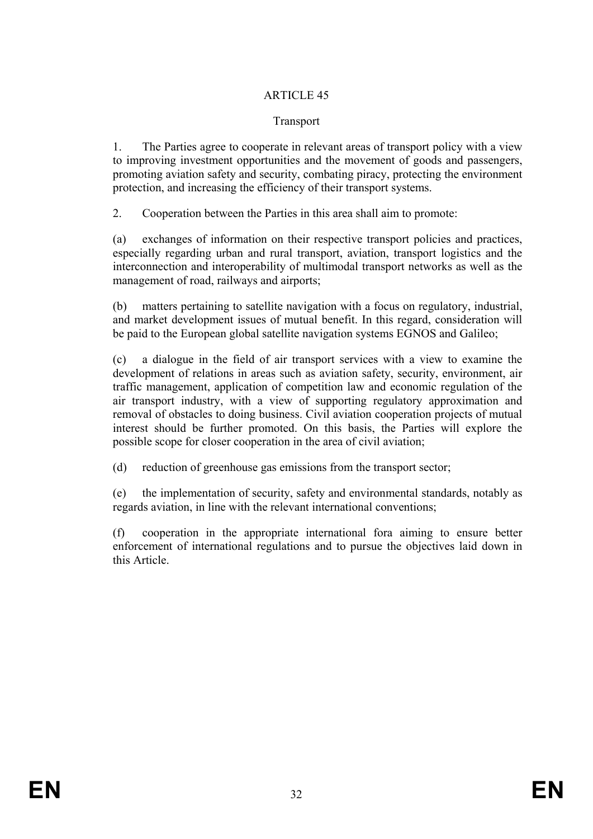#### Transport

1. The Parties agree to cooperate in relevant areas of transport policy with a view to improving investment opportunities and the movement of goods and passengers, promoting aviation safety and security, combating piracy, protecting the environment protection, and increasing the efficiency of their transport systems.

2. Cooperation between the Parties in this area shall aim to promote:

(a) exchanges of information on their respective transport policies and practices, especially regarding urban and rural transport, aviation, transport logistics and the interconnection and interoperability of multimodal transport networks as well as the management of road, railways and airports;

(b) matters pertaining to satellite navigation with a focus on regulatory, industrial, and market development issues of mutual benefit. In this regard, consideration will be paid to the European global satellite navigation systems EGNOS and Galileo;

(c) a dialogue in the field of air transport services with a view to examine the development of relations in areas such as aviation safety, security, environment, air traffic management, application of competition law and economic regulation of the air transport industry, with a view of supporting regulatory approximation and removal of obstacles to doing business. Civil aviation cooperation projects of mutual interest should be further promoted. On this basis, the Parties will explore the possible scope for closer cooperation in the area of civil aviation;

(d) reduction of greenhouse gas emissions from the transport sector;

(e) the implementation of security, safety and environmental standards, notably as regards aviation, in line with the relevant international conventions;

(f) cooperation in the appropriate international fora aiming to ensure better enforcement of international regulations and to pursue the objectives laid down in this Article.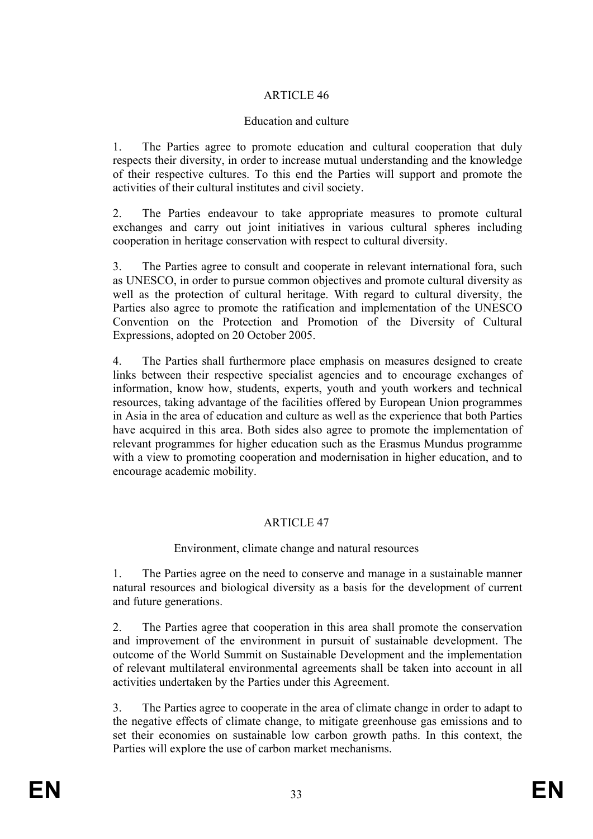### Education and culture

1. The Parties agree to promote education and cultural cooperation that duly respects their diversity, in order to increase mutual understanding and the knowledge of their respective cultures. To this end the Parties will support and promote the activities of their cultural institutes and civil society.

2. The Parties endeavour to take appropriate measures to promote cultural exchanges and carry out joint initiatives in various cultural spheres including cooperation in heritage conservation with respect to cultural diversity.

3. The Parties agree to consult and cooperate in relevant international fora, such as UNESCO, in order to pursue common objectives and promote cultural diversity as well as the protection of cultural heritage. With regard to cultural diversity, the Parties also agree to promote the ratification and implementation of the UNESCO Convention on the Protection and Promotion of the Diversity of Cultural Expressions, adopted on 20 October 2005.

4. The Parties shall furthermore place emphasis on measures designed to create links between their respective specialist agencies and to encourage exchanges of information, know how, students, experts, youth and youth workers and technical resources, taking advantage of the facilities offered by European Union programmes in Asia in the area of education and culture as well as the experience that both Parties have acquired in this area. Both sides also agree to promote the implementation of relevant programmes for higher education such as the Erasmus Mundus programme with a view to promoting cooperation and modernisation in higher education, and to encourage academic mobility.

### ARTICLE 47

### Environment, climate change and natural resources

1. The Parties agree on the need to conserve and manage in a sustainable manner natural resources and biological diversity as a basis for the development of current and future generations.

2. The Parties agree that cooperation in this area shall promote the conservation and improvement of the environment in pursuit of sustainable development. The outcome of the World Summit on Sustainable Development and the implementation of relevant multilateral environmental agreements shall be taken into account in all activities undertaken by the Parties under this Agreement.

3. The Parties agree to cooperate in the area of climate change in order to adapt to the negative effects of climate change, to mitigate greenhouse gas emissions and to set their economies on sustainable low carbon growth paths. In this context, the Parties will explore the use of carbon market mechanisms.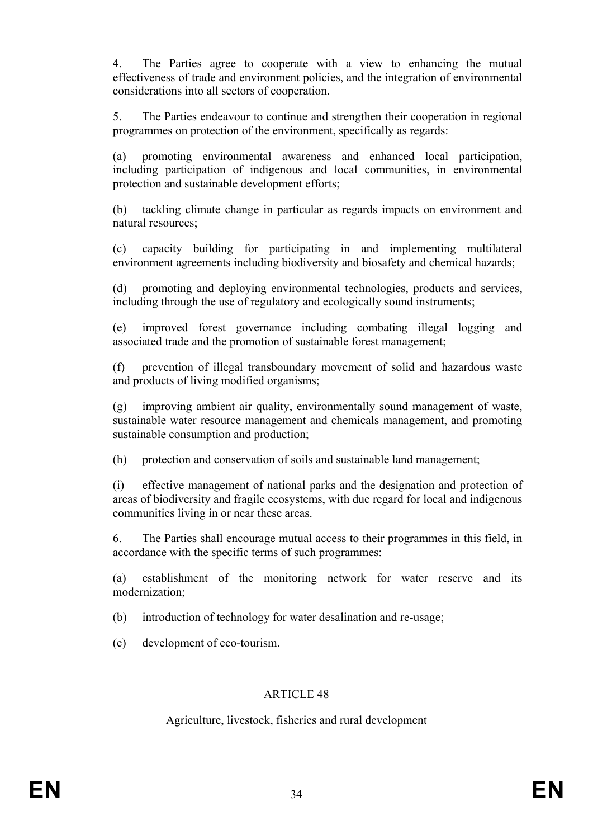4. The Parties agree to cooperate with a view to enhancing the mutual effectiveness of trade and environment policies, and the integration of environmental considerations into all sectors of cooperation.

5. The Parties endeavour to continue and strengthen their cooperation in regional programmes on protection of the environment, specifically as regards:

(a) promoting environmental awareness and enhanced local participation, including participation of indigenous and local communities, in environmental protection and sustainable development efforts;

(b) tackling climate change in particular as regards impacts on environment and natural resources;

(c) capacity building for participating in and implementing multilateral environment agreements including biodiversity and biosafety and chemical hazards;

(d) promoting and deploying environmental technologies, products and services, including through the use of regulatory and ecologically sound instruments;

(e) improved forest governance including combating illegal logging and associated trade and the promotion of sustainable forest management;

(f) prevention of illegal transboundary movement of solid and hazardous waste and products of living modified organisms;

(g) improving ambient air quality, environmentally sound management of waste, sustainable water resource management and chemicals management, and promoting sustainable consumption and production;

(h) protection and conservation of soils and sustainable land management;

(i) effective management of national parks and the designation and protection of areas of biodiversity and fragile ecosystems, with due regard for local and indigenous communities living in or near these areas.

6. The Parties shall encourage mutual access to their programmes in this field, in accordance with the specific terms of such programmes:

(a) establishment of the monitoring network for water reserve and its modernization;

(b) introduction of technology for water desalination and re-usage;

(c) development of eco-tourism.

### ARTICLE 48

Agriculture, livestock, fisheries and rural development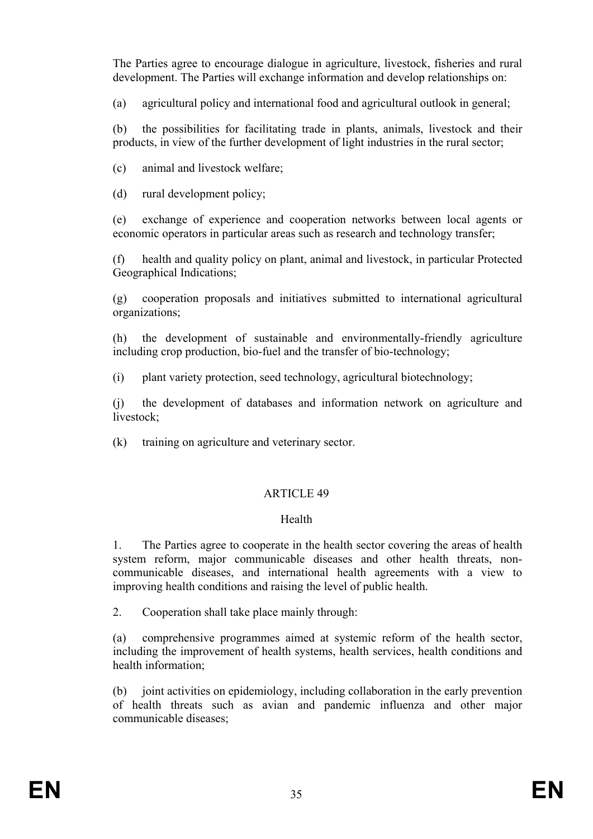The Parties agree to encourage dialogue in agriculture, livestock, fisheries and rural development. The Parties will exchange information and develop relationships on:

(a) agricultural policy and international food and agricultural outlook in general;

(b) the possibilities for facilitating trade in plants, animals, livestock and their products, in view of the further development of light industries in the rural sector;

(c) animal and livestock welfare;

(d) rural development policy;

(e) exchange of experience and cooperation networks between local agents or economic operators in particular areas such as research and technology transfer;

(f) health and quality policy on plant, animal and livestock, in particular Protected Geographical Indications;

(g) cooperation proposals and initiatives submitted to international agricultural organizations;

(h) the development of sustainable and environmentally-friendly agriculture including crop production, bio-fuel and the transfer of bio-technology;

(i) plant variety protection, seed technology, agricultural biotechnology;

(j) the development of databases and information network on agriculture and livestock;

(k) training on agriculture and veterinary sector.

# ARTICLE 49

### Health

1. The Parties agree to cooperate in the health sector covering the areas of health system reform, major communicable diseases and other health threats, noncommunicable diseases, and international health agreements with a view to improving health conditions and raising the level of public health.

2. Cooperation shall take place mainly through:

(a) comprehensive programmes aimed at systemic reform of the health sector, including the improvement of health systems, health services, health conditions and health information;

(b) joint activities on epidemiology, including collaboration in the early prevention of health threats such as avian and pandemic influenza and other major communicable diseases;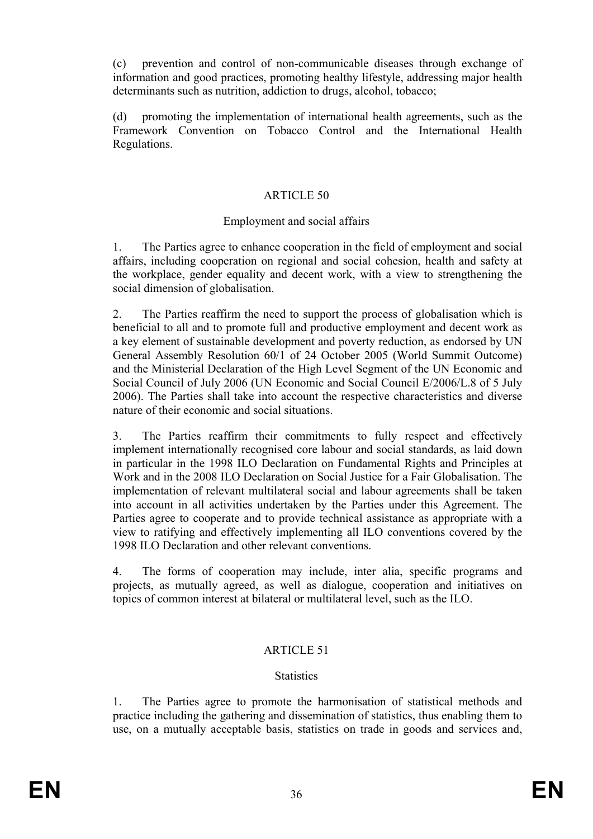(c) prevention and control of non-communicable diseases through exchange of information and good practices, promoting healthy lifestyle, addressing major health determinants such as nutrition, addiction to drugs, alcohol, tobacco;

(d) promoting the implementation of international health agreements, such as the Framework Convention on Tobacco Control and the International Health Regulations.

#### ARTICLE 50

#### Employment and social affairs

1. The Parties agree to enhance cooperation in the field of employment and social affairs, including cooperation on regional and social cohesion, health and safety at the workplace, gender equality and decent work, with a view to strengthening the social dimension of globalisation.

2. The Parties reaffirm the need to support the process of globalisation which is beneficial to all and to promote full and productive employment and decent work as a key element of sustainable development and poverty reduction, as endorsed by UN General Assembly Resolution 60/1 of 24 October 2005 (World Summit Outcome) and the Ministerial Declaration of the High Level Segment of the UN Economic and Social Council of July 2006 (UN Economic and Social Council E/2006/L.8 of 5 July 2006). The Parties shall take into account the respective characteristics and diverse nature of their economic and social situations.

3. The Parties reaffirm their commitments to fully respect and effectively implement internationally recognised core labour and social standards, as laid down in particular in the 1998 ILO Declaration on Fundamental Rights and Principles at Work and in the 2008 ILO Declaration on Social Justice for a Fair Globalisation. The implementation of relevant multilateral social and labour agreements shall be taken into account in all activities undertaken by the Parties under this Agreement. The Parties agree to cooperate and to provide technical assistance as appropriate with a view to ratifying and effectively implementing all ILO conventions covered by the 1998 ILO Declaration and other relevant conventions.

4. The forms of cooperation may include, inter alia, specific programs and projects, as mutually agreed, as well as dialogue, cooperation and initiatives on topics of common interest at bilateral or multilateral level, such as the ILO.

#### ARTICLE 51

#### **Statistics**

1. The Parties agree to promote the harmonisation of statistical methods and practice including the gathering and dissemination of statistics, thus enabling them to use, on a mutually acceptable basis, statistics on trade in goods and services and,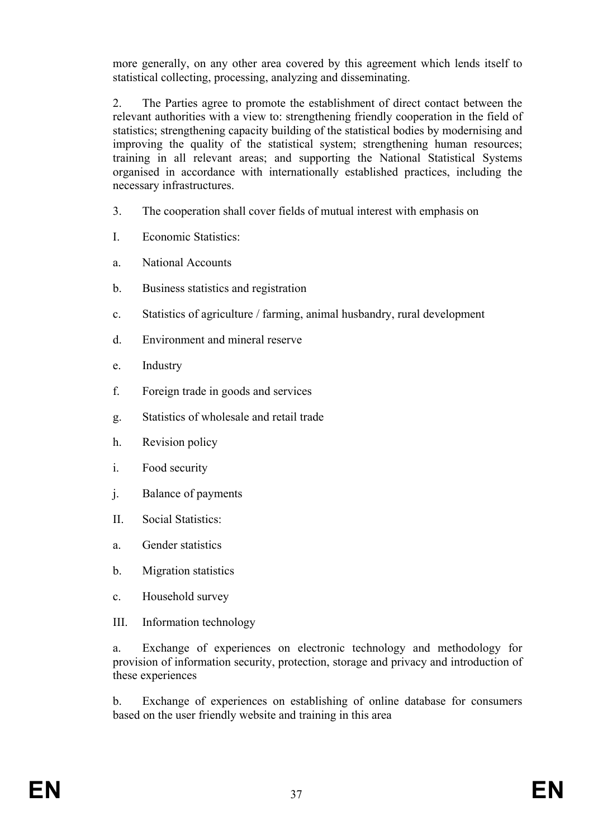more generally, on any other area covered by this agreement which lends itself to statistical collecting, processing, analyzing and disseminating.

2. The Parties agree to promote the establishment of direct contact between the relevant authorities with a view to: strengthening friendly cooperation in the field of statistics; strengthening capacity building of the statistical bodies by modernising and improving the quality of the statistical system; strengthening human resources; training in all relevant areas; and supporting the National Statistical Systems organised in accordance with internationally established practices, including the necessary infrastructures.

- 3. The cooperation shall cover fields of mutual interest with emphasis on
- I. Economic Statistics:
- a. National Accounts
- b. Business statistics and registration
- c. Statistics of agriculture / farming, animal husbandry, rural development
- d. Environment and mineral reserve
- e. Industry
- f. Foreign trade in goods and services
- g. Statistics of wholesale and retail trade
- h. Revision policy
- i. Food security
- j. Balance of payments
- II. Social Statistics:
- a. Gender statistics
- b. Migration statistics
- c. Household survey
- III. Information technology

a. Exchange of experiences on electronic technology and methodology for provision of information security, protection, storage and privacy and introduction of these experiences

b. Exchange of experiences on establishing of online database for consumers based on the user friendly website and training in this area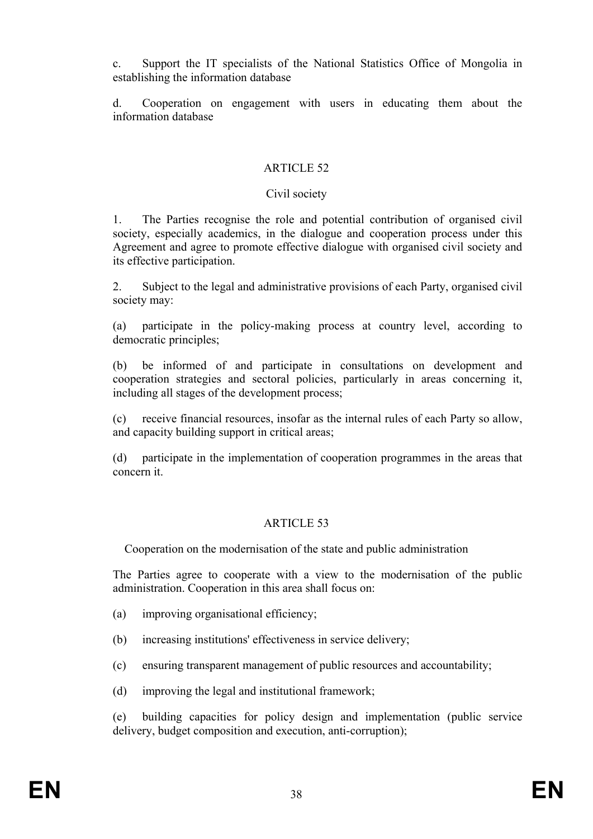c. Support the IT specialists of the National Statistics Office of Mongolia in establishing the information database

d. Cooperation on engagement with users in educating them about the information database

#### ARTICLE 52

#### Civil society

1. The Parties recognise the role and potential contribution of organised civil society, especially academics, in the dialogue and cooperation process under this Agreement and agree to promote effective dialogue with organised civil society and its effective participation.

2. Subject to the legal and administrative provisions of each Party, organised civil society may:

(a) participate in the policy-making process at country level, according to democratic principles;

(b) be informed of and participate in consultations on development and cooperation strategies and sectoral policies, particularly in areas concerning it, including all stages of the development process;

(c) receive financial resources, insofar as the internal rules of each Party so allow, and capacity building support in critical areas;

(d) participate in the implementation of cooperation programmes in the areas that concern it.

#### ARTICLE 53

Cooperation on the modernisation of the state and public administration

The Parties agree to cooperate with a view to the modernisation of the public administration. Cooperation in this area shall focus on:

- (a) improving organisational efficiency;
- (b) increasing institutions' effectiveness in service delivery;
- (c) ensuring transparent management of public resources and accountability;
- (d) improving the legal and institutional framework;

(e) building capacities for policy design and implementation (public service delivery, budget composition and execution, anti-corruption);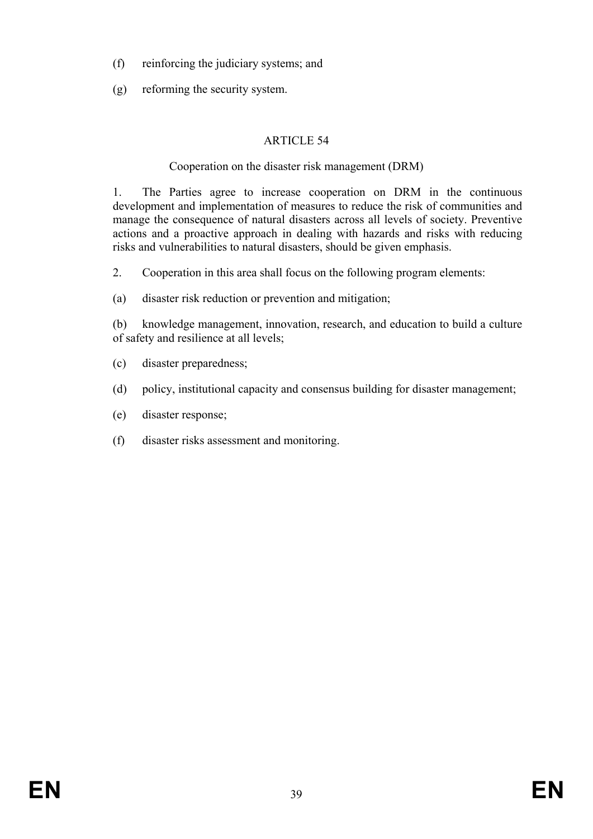- (f) reinforcing the judiciary systems; and
- (g) reforming the security system.

# Cooperation on the disaster risk management (DRM)

1. The Parties agree to increase cooperation on DRM in the continuous development and implementation of measures to reduce the risk of communities and manage the consequence of natural disasters across all levels of society. Preventive actions and a proactive approach in dealing with hazards and risks with reducing risks and vulnerabilities to natural disasters, should be given emphasis.

2. Cooperation in this area shall focus on the following program elements:

(a) disaster risk reduction or prevention and mitigation;

(b) knowledge management, innovation, research, and education to build a culture of safety and resilience at all levels;

- (c) disaster preparedness;
- (d) policy, institutional capacity and consensus building for disaster management;
- (e) disaster response;
- (f) disaster risks assessment and monitoring.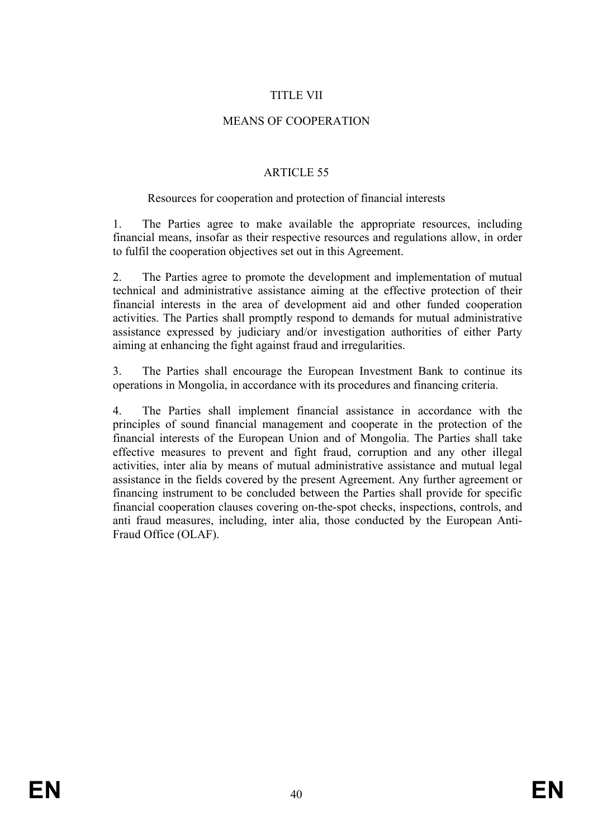## TITLE VII

### MEANS OF COOPERATION

#### ARTICLE 55

#### Resources for cooperation and protection of financial interests

1. The Parties agree to make available the appropriate resources, including financial means, insofar as their respective resources and regulations allow, in order to fulfil the cooperation objectives set out in this Agreement.

2. The Parties agree to promote the development and implementation of mutual technical and administrative assistance aiming at the effective protection of their financial interests in the area of development aid and other funded cooperation activities. The Parties shall promptly respond to demands for mutual administrative assistance expressed by judiciary and/or investigation authorities of either Party aiming at enhancing the fight against fraud and irregularities.

3. The Parties shall encourage the European Investment Bank to continue its operations in Mongolia, in accordance with its procedures and financing criteria.

4. The Parties shall implement financial assistance in accordance with the principles of sound financial management and cooperate in the protection of the financial interests of the European Union and of Mongolia. The Parties shall take effective measures to prevent and fight fraud, corruption and any other illegal activities, inter alia by means of mutual administrative assistance and mutual legal assistance in the fields covered by the present Agreement. Any further agreement or financing instrument to be concluded between the Parties shall provide for specific financial cooperation clauses covering on-the-spot checks, inspections, controls, and anti fraud measures, including, inter alia, those conducted by the European Anti-Fraud Office (OLAF).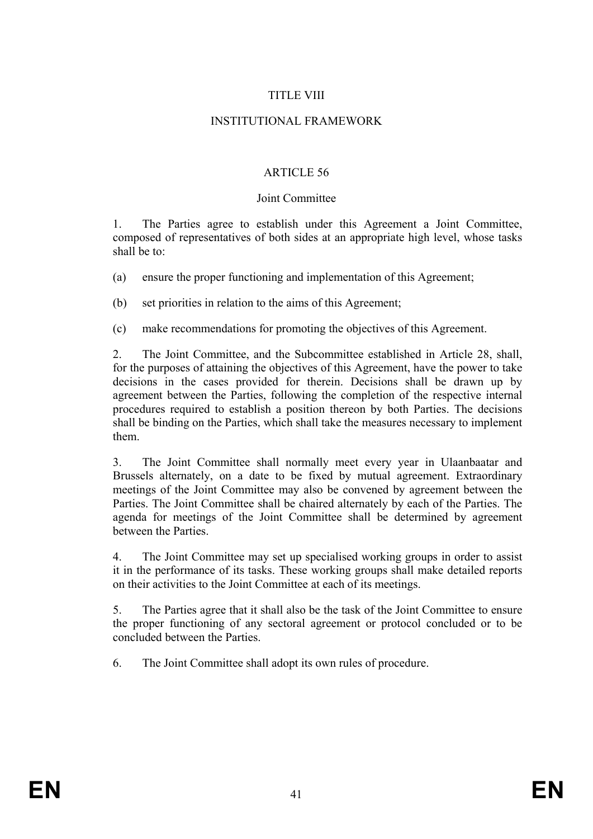### TITLE VIII

#### INSTITUTIONAL FRAMEWORK

### ARTICLE 56

#### Joint Committee

1. The Parties agree to establish under this Agreement a Joint Committee, composed of representatives of both sides at an appropriate high level, whose tasks shall be to:

- (a) ensure the proper functioning and implementation of this Agreement;
- (b) set priorities in relation to the aims of this Agreement;
- (c) make recommendations for promoting the objectives of this Agreement.

2. The Joint Committee, and the Subcommittee established in Article 28, shall, for the purposes of attaining the objectives of this Agreement, have the power to take decisions in the cases provided for therein. Decisions shall be drawn up by agreement between the Parties, following the completion of the respective internal procedures required to establish a position thereon by both Parties. The decisions shall be binding on the Parties, which shall take the measures necessary to implement them.

3. The Joint Committee shall normally meet every year in Ulaanbaatar and Brussels alternately, on a date to be fixed by mutual agreement. Extraordinary meetings of the Joint Committee may also be convened by agreement between the Parties. The Joint Committee shall be chaired alternately by each of the Parties. The agenda for meetings of the Joint Committee shall be determined by agreement between the Parties.

4. The Joint Committee may set up specialised working groups in order to assist it in the performance of its tasks. These working groups shall make detailed reports on their activities to the Joint Committee at each of its meetings.

5. The Parties agree that it shall also be the task of the Joint Committee to ensure the proper functioning of any sectoral agreement or protocol concluded or to be concluded between the Parties.

6. The Joint Committee shall adopt its own rules of procedure.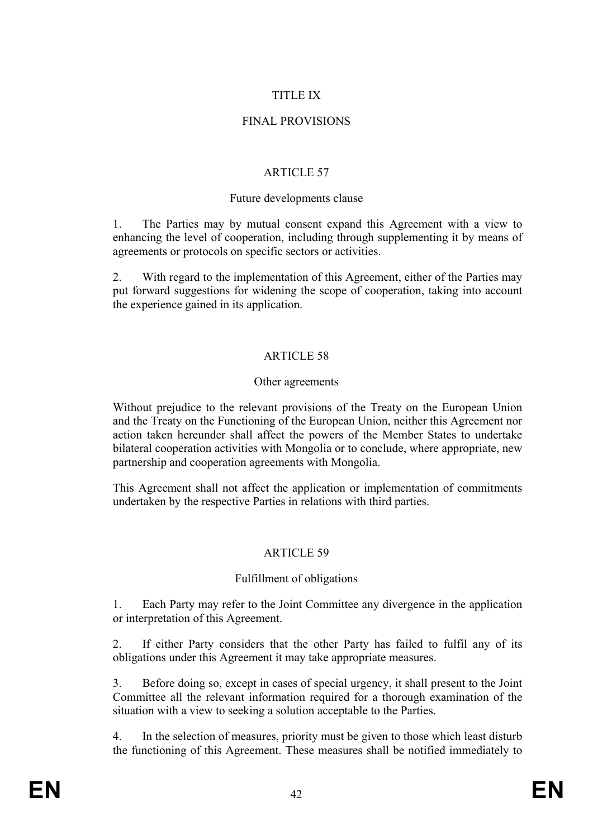## TITLE IX

### FINAL PROVISIONS

### ARTICLE 57

#### Future developments clause

1. The Parties may by mutual consent expand this Agreement with a view to enhancing the level of cooperation, including through supplementing it by means of agreements or protocols on specific sectors or activities.

2. With regard to the implementation of this Agreement, either of the Parties may put forward suggestions for widening the scope of cooperation, taking into account the experience gained in its application.

## ARTICLE 58

#### Other agreements

Without prejudice to the relevant provisions of the Treaty on the European Union and the Treaty on the Functioning of the European Union, neither this Agreement nor action taken hereunder shall affect the powers of the Member States to undertake bilateral cooperation activities with Mongolia or to conclude, where appropriate, new partnership and cooperation agreements with Mongolia.

This Agreement shall not affect the application or implementation of commitments undertaken by the respective Parties in relations with third parties.

### ARTICLE 59

### Fulfillment of obligations

1. Each Party may refer to the Joint Committee any divergence in the application or interpretation of this Agreement.

2. If either Party considers that the other Party has failed to fulfil any of its obligations under this Agreement it may take appropriate measures.

3. Before doing so, except in cases of special urgency, it shall present to the Joint Committee all the relevant information required for a thorough examination of the situation with a view to seeking a solution acceptable to the Parties.

4. In the selection of measures, priority must be given to those which least disturb the functioning of this Agreement. These measures shall be notified immediately to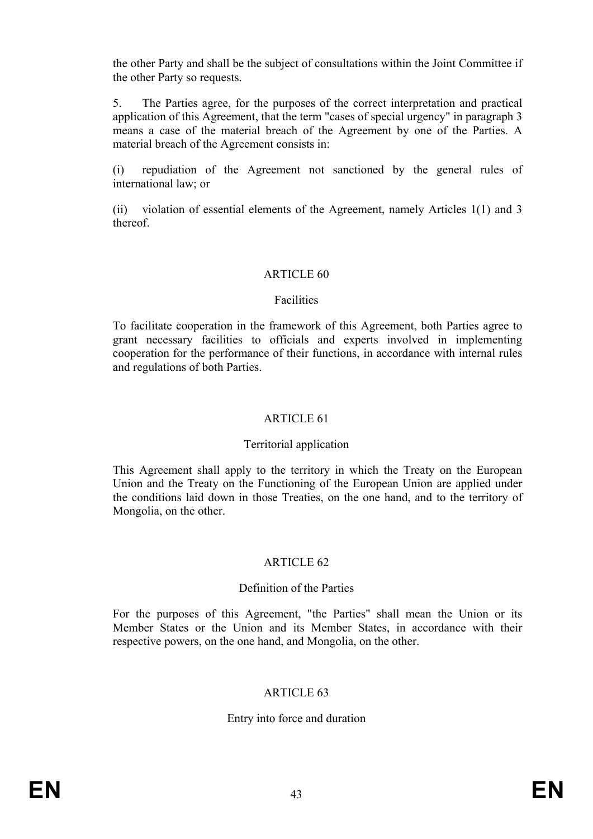the other Party and shall be the subject of consultations within the Joint Committee if the other Party so requests.

5. The Parties agree, for the purposes of the correct interpretation and practical application of this Agreement, that the term "cases of special urgency" in paragraph 3 means a case of the material breach of the Agreement by one of the Parties. A material breach of the Agreement consists in:

(i) repudiation of the Agreement not sanctioned by the general rules of international law; or

(ii) violation of essential elements of the Agreement, namely Articles 1(1) and 3 thereof.

#### ARTICLE 60

#### Facilities

To facilitate cooperation in the framework of this Agreement, both Parties agree to grant necessary facilities to officials and experts involved in implementing cooperation for the performance of their functions, in accordance with internal rules and regulations of both Parties.

#### ARTICLE 61

#### Territorial application

This Agreement shall apply to the territory in which the Treaty on the European Union and the Treaty on the Functioning of the European Union are applied under the conditions laid down in those Treaties, on the one hand, and to the territory of Mongolia, on the other.

#### ARTICLE 62

#### Definition of the Parties

For the purposes of this Agreement, "the Parties" shall mean the Union or its Member States or the Union and its Member States, in accordance with their respective powers, on the one hand, and Mongolia, on the other.

#### ARTICLE 63

#### Entry into force and duration